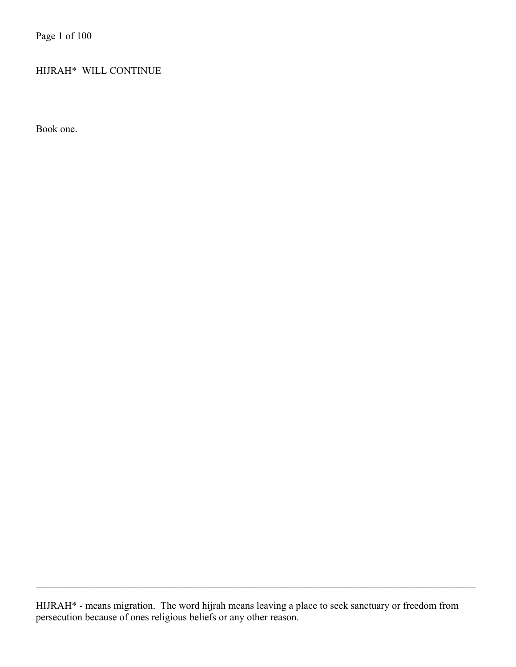## HIJRAH\* WILL CONTINUE

Book one.

HIJRAH\* - means migration. The word hijrah means leaving a place to seek sanctuary or freedom from persecution because of ones religious beliefs or any other reason.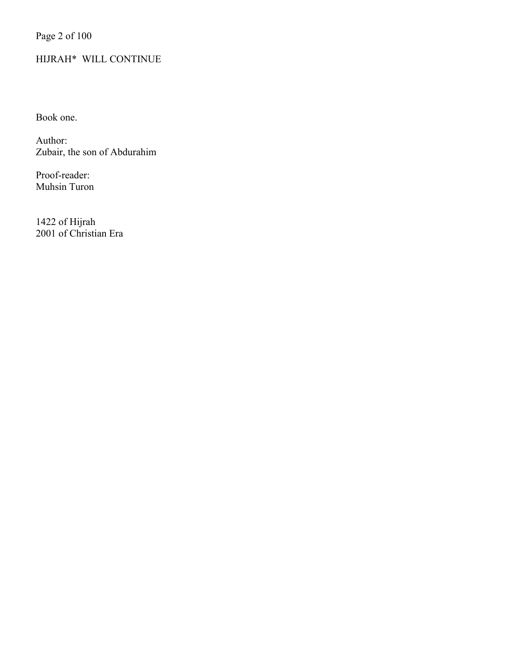Page 2 of 100

## HIJRAH\* WILL CONTINUE

Book one.

Author: Zubair, the son of Abdurahim

Proof-reader: Muhsin Turon

1422 of Hijrah 2001 of Christian Era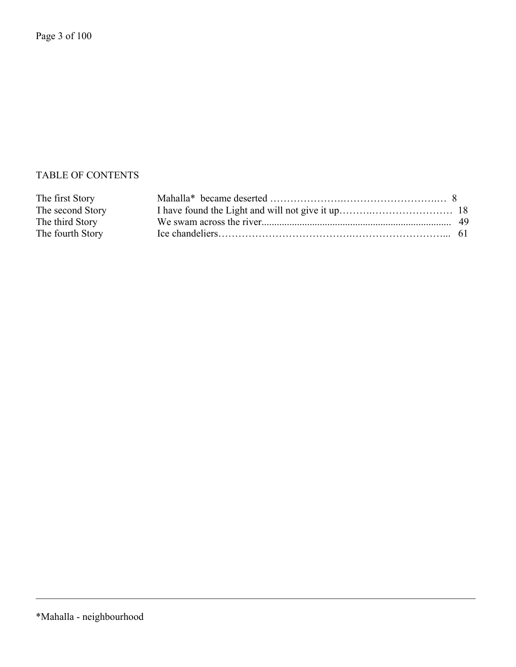# TABLE OF CONTENTS

| The first Story  |  |
|------------------|--|
| The second Story |  |
| The third Story  |  |
| The fourth Story |  |
|                  |  |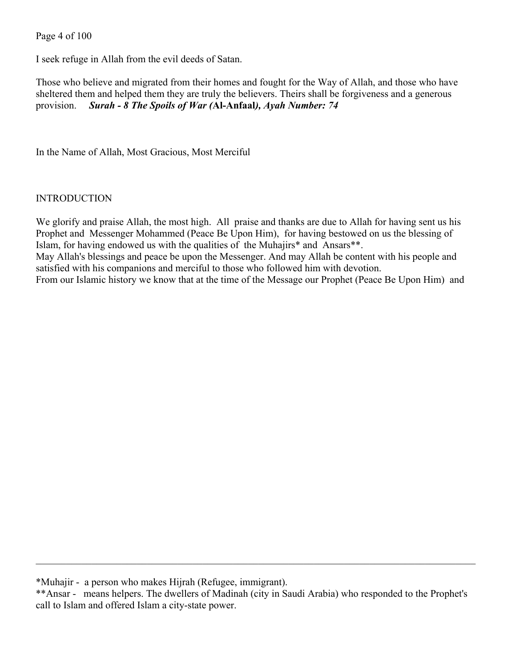Page 4 of 100

I seek refuge in Allah from the evil deeds of Satan.

Those who believe and migrated from their homes and fought for the Way of Allah, and those who have sheltered them and helped them they are truly the believers. Theirs shall be forgiveness and a generous provision. *Surah - 8 The Spoils of War (***Al-Anfaal***), Ayah Number: 74* 

In the Name of Allah, Most Gracious, Most Merciful

### **INTRODUCTION**

We glorify and praise Allah, the most high. All praise and thanks are due to Allah for having sent us his Prophet and Messenger Mohammed (Peace Be Upon Him), for having bestowed on us the blessing of Islam, for having endowed us with the qualities of the Muhajirs\* and Ansars\*\*. May Allah's blessings and peace be upon the Messenger. And may Allah be content with his people and satisfied with his companions and merciful to those who followed him with devotion.

From our Islamic history we know that at the time of the Message our Prophet (Peace Be Upon Him) and

<sup>\*</sup>Muhajir - a person who makes Hijrah (Refugee, immigrant).

<sup>\*\*</sup>Ansar - means helpers. The dwellers of Madinah (city in Saudi Arabia) who responded to the Prophet's call to Islam and offered Islam a city-state power.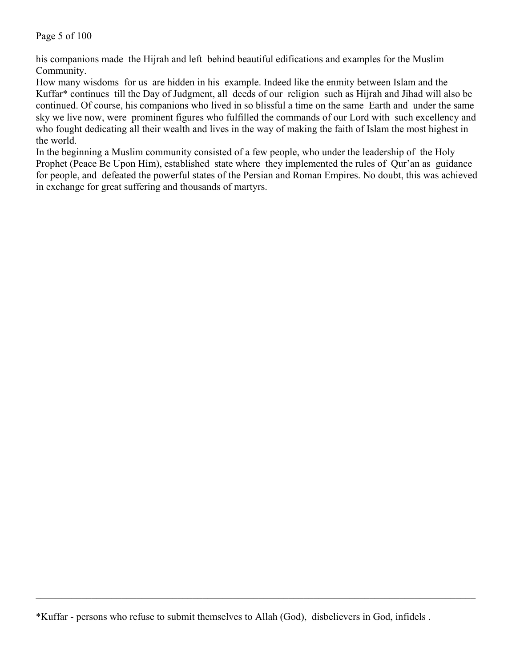his companions made the Hijrah and left behind beautiful edifications and examples for the Muslim Community.

How many wisdoms for us are hidden in his example. Indeed like the enmity between Islam and the Kuffar\* continues till the Day of Judgment, all deeds of our religion such as Hijrah and Jihad will also be continued. Of course, his companions who lived in so blissful a time on the same Earth and under the same sky we live now, were prominent figures who fulfilled the commands of our Lord with such excellency and who fought dedicating all their wealth and lives in the way of making the faith of Islam the most highest in the world.

In the beginning a Muslim community consisted of a few people, who under the leadership of the Holy Prophet (Peace Be Upon Him), established state where they implemented the rules of Qur'an as guidance for people, and defeated the powerful states of the Persian and Roman Empires. No doubt, this was achieved in exchange for great suffering and thousands of martyrs.

<sup>\*</sup>Kuffar - persons who refuse to submit themselves to Allah (God), disbelievers in God, infidels .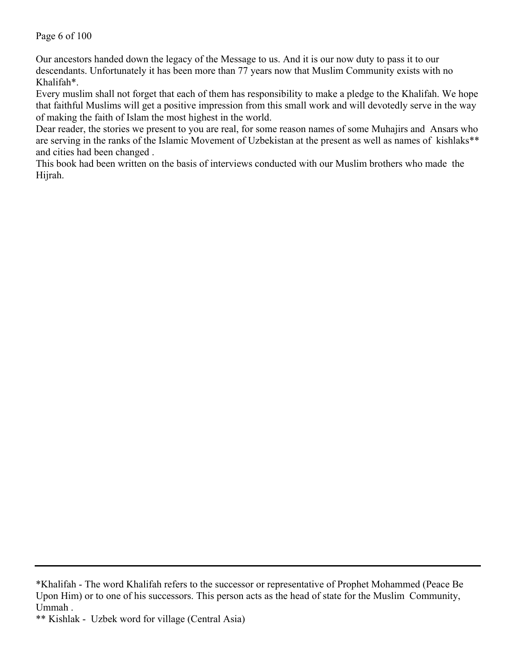## Page 6 of 100

Our ancestors handed down the legacy of the Message to us. And it is our now duty to pass it to our descendants. Unfortunately it has been more than 77 years now that Muslim Community exists with no Khalifah\*.

Every muslim shall not forget that each of them has responsibility to make a pledge to the Khalifah. We hope that faithful Muslims will get a positive impression from this small work and will devotedly serve in the way of making the faith of Islam the most highest in the world.

Dear reader, the stories we present to you are real, for some reason names of some Muhajirs and Ansars who are serving in the ranks of the Islamic Movement of Uzbekistan at the present as well as names of kishlaks\*\* and cities had been changed .

This book had been written on the basis of interviews conducted with our Muslim brothers who made the Hijrah.

<sup>\*</sup>Khalifah - The word Khalifah refers to the successor or representative of Prophet Mohammed (Peace Be Upon Him) or to one of his successors. This person acts as the head of state for the Muslim Community, Ummah .

<sup>\*\*</sup> Kishlak - Uzbek word for village (Central Asia)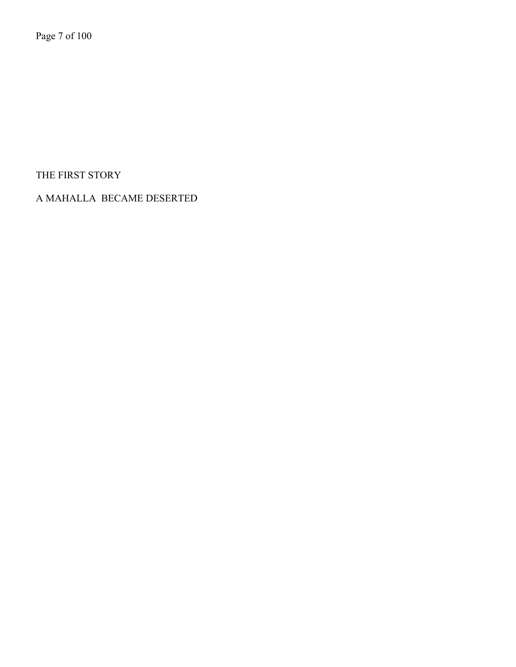Page 7 of 100

THE FIRST STORY

A MAHALLA BECAME DESERTED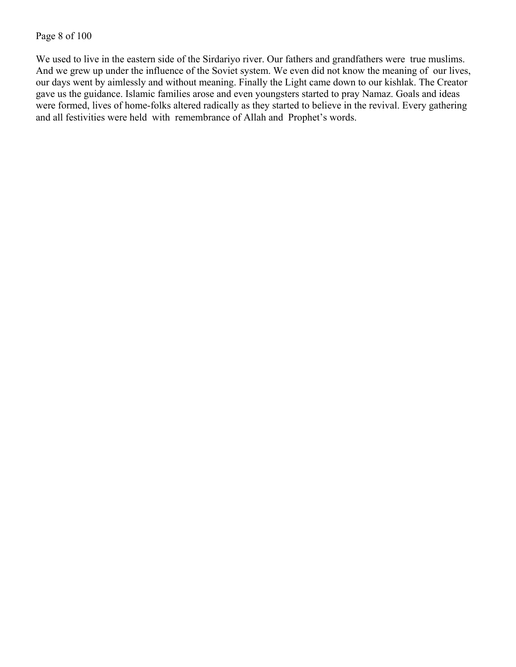### Page 8 of 100

We used to live in the eastern side of the Sirdariyo river. Our fathers and grandfathers were true muslims. And we grew up under the influence of the Soviet system. We even did not know the meaning of our lives, our days went by aimlessly and without meaning. Finally the Light came down to our kishlak. The Creator gave us the guidance. Islamic families arose and even youngsters started to pray Namaz. Goals and ideas were formed, lives of home-folks altered radically as they started to believe in the revival. Every gathering and all festivities were held with remembrance of Allah and Prophet's words.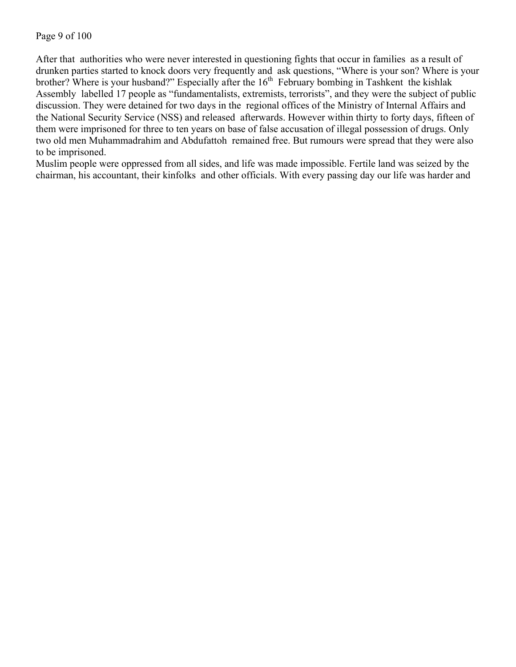### Page 9 of 100

After that authorities who were never interested in questioning fights that occur in families as a result of drunken parties started to knock doors very frequently and ask questions, "Where is your son? Where is your brother? Where is your husband?" Especially after the  $16<sup>th</sup>$  February bombing in Tashkent the kishlak Assembly labelled 17 people as "fundamentalists, extremists, terrorists", and they were the subject of public discussion. They were detained for two days in the regional offices of the Ministry of Internal Affairs and the National Security Service (NSS) and released afterwards. However within thirty to forty days, fifteen of them were imprisoned for three to ten years on base of false accusation of illegal possession of drugs. Only two old men Muhammadrahim and Abdufattoh remained free. But rumours were spread that they were also to be imprisoned.

Muslim people were oppressed from all sides, and life was made impossible. Fertile land was seized by the chairman, his accountant, their kinfolks and other officials. With every passing day our life was harder and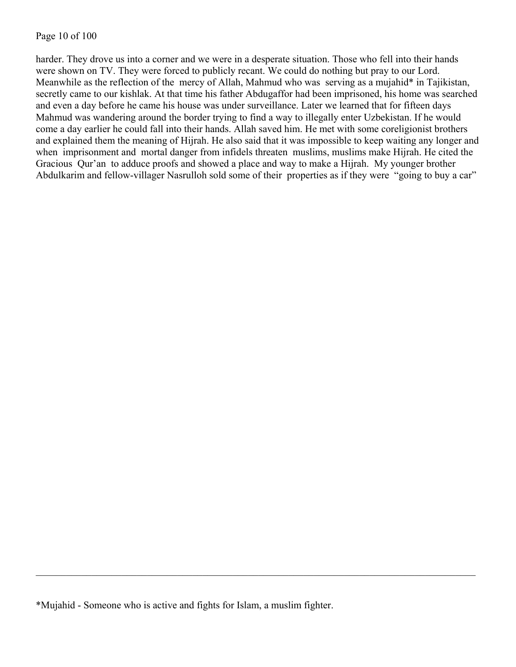harder. They drove us into a corner and we were in a desperate situation. Those who fell into their hands were shown on TV. They were forced to publicly recant. We could do nothing but pray to our Lord. Meanwhile as the reflection of the mercy of Allah, Mahmud who was serving as a mujahid\* in Tajikistan, secretly came to our kishlak. At that time his father Abdugaffor had been imprisoned, his home was searched and even a day before he came his house was under surveillance. Later we learned that for fifteen days Mahmud was wandering around the border trying to find a way to illegally enter Uzbekistan. If he would come a day earlier he could fall into their hands. Allah saved him. He met with some coreligionist brothers and explained them the meaning of Hijrah. He also said that it was impossible to keep waiting any longer and when imprisonment and mortal danger from infidels threaten muslims, muslims make Hijrah. He cited the Gracious Qur'an to adduce proofs and showed a place and way to make a Hijrah. My younger brother Abdulkarim and fellow-villager Nasrulloh sold some of their properties as if they were "going to buy a car"

\*Mujahid - Someone who is active and fights for Islam, a muslim fighter.

 $\mathcal{L}_\mathcal{L} = \{ \mathcal{L}_\mathcal{L} = \{ \mathcal{L}_\mathcal{L} = \{ \mathcal{L}_\mathcal{L} = \{ \mathcal{L}_\mathcal{L} = \{ \mathcal{L}_\mathcal{L} = \{ \mathcal{L}_\mathcal{L} = \{ \mathcal{L}_\mathcal{L} = \{ \mathcal{L}_\mathcal{L} = \{ \mathcal{L}_\mathcal{L} = \{ \mathcal{L}_\mathcal{L} = \{ \mathcal{L}_\mathcal{L} = \{ \mathcal{L}_\mathcal{L} = \{ \mathcal{L}_\mathcal{L} = \{ \mathcal{L}_\mathcal{$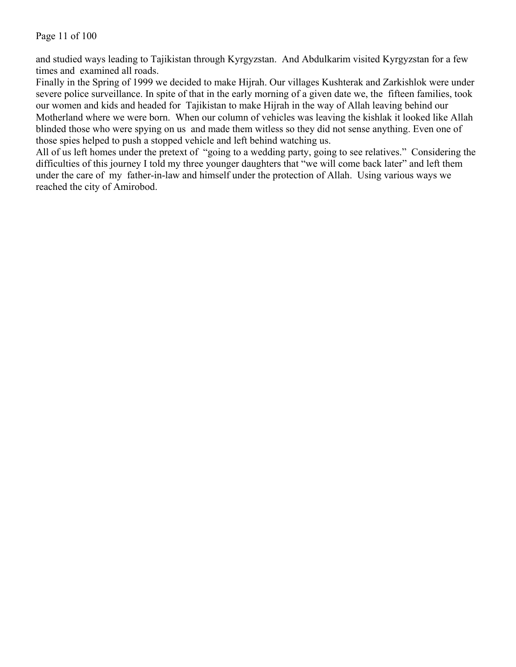and studied ways leading to Tajikistan through Kyrgyzstan. And Abdulkarim visited Kyrgyzstan for a few times and examined all roads.

Finally in the Spring of 1999 we decided to make Hijrah. Our villages Kushterak and Zarkishlok were under severe police surveillance. In spite of that in the early morning of a given date we, the fifteen families, took our women and kids and headed for Tajikistan to make Hijrah in the way of Allah leaving behind our Motherland where we were born. When our column of vehicles was leaving the kishlak it looked like Allah blinded those who were spying on us and made them witless so they did not sense anything. Even one of those spies helped to push a stopped vehicle and left behind watching us.

All of us left homes under the pretext of "going to a wedding party, going to see relatives." Considering the difficulties of this journey I told my three younger daughters that "we will come back later" and left them under the care of my father-in-law and himself under the protection of Allah. Using various ways we reached the city of Amirobod.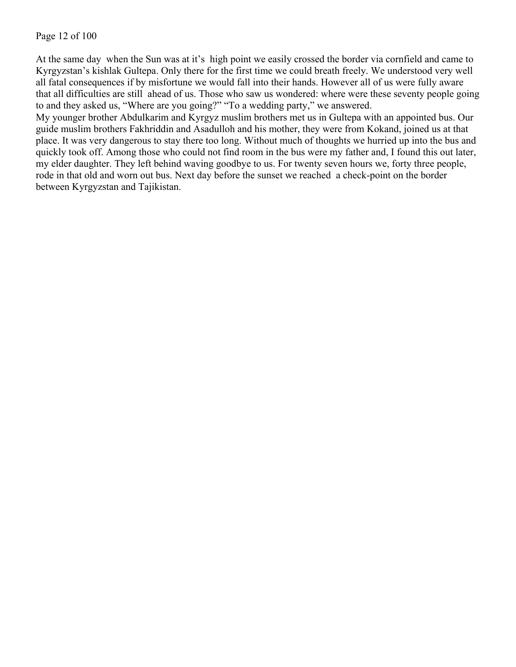At the same day when the Sun was at it's high point we easily crossed the border via cornfield and came to Kyrgyzstan's kishlak Gultepa. Only there for the first time we could breath freely. We understood very well all fatal consequences if by misfortune we would fall into their hands. However all of us were fully aware that all difficulties are still ahead of us. Those who saw us wondered: where were these seventy people going to and they asked us, "Where are you going?" "To a wedding party," we answered.

My younger brother Abdulkarim and Kyrgyz muslim brothers met us in Gultepa with an appointed bus. Our guide muslim brothers Fakhriddin and Asadulloh and his mother, they were from Kokand, joined us at that place. It was very dangerous to stay there too long. Without much of thoughts we hurried up into the bus and quickly took off. Among those who could not find room in the bus were my father and, I found this out later, my elder daughter. They left behind waving goodbye to us. For twenty seven hours we, forty three people, rode in that old and worn out bus. Next day before the sunset we reached a check-point on the border between Kyrgyzstan and Tajikistan.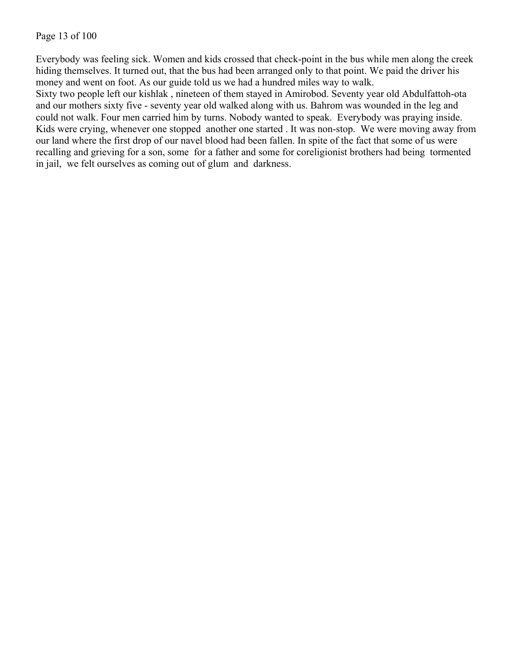Everybody was feeling sick. Women and kids crossed that check-point in the bus while men along the creek hiding themselves. It turned out, that the bus had been arranged only to that point. We paid the driver his money and went on foot. As our guide told us we had a hundred miles way to walk. Sixty two people left our kishlak , nineteen of them stayed in Amirobod. Seventy year old Abdulfattoh-ota and our mothers sixty five - seventy year old walked along with us. Bahrom was wounded in the leg and could not walk. Four men carried him by turns. Nobody wanted to speak. Everybody was praying inside. Kids were crying, whenever one stopped another one started . It was non-stop. We were moving away from our land where the first drop of our navel blood had been fallen. In spite of the fact that some of us were recalling and grieving for a son, some for a father and some for coreligionist brothers had being tormented in jail, we felt ourselves as coming out of glum and darkness.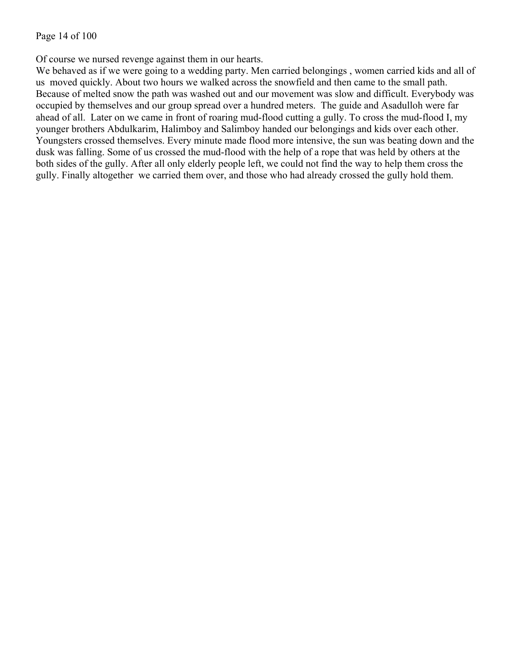Of course we nursed revenge against them in our hearts.

We behaved as if we were going to a wedding party. Men carried belongings, women carried kids and all of us moved quickly. About two hours we walked across the snowfield and then came to the small path. Because of melted snow the path was washed out and our movement was slow and difficult. Everybody was occupied by themselves and our group spread over a hundred meters. The guide and Asadulloh were far ahead of all. Later on we came in front of roaring mud-flood cutting a gully. To cross the mud-flood I, my younger brothers Abdulkarim, Halimboy and Salimboy handed our belongings and kids over each other. Youngsters crossed themselves. Every minute made flood more intensive, the sun was beating down and the dusk was falling. Some of us crossed the mud-flood with the help of a rope that was held by others at the both sides of the gully. After all only elderly people left, we could not find the way to help them cross the gully. Finally altogether we carried them over, and those who had already crossed the gully hold them.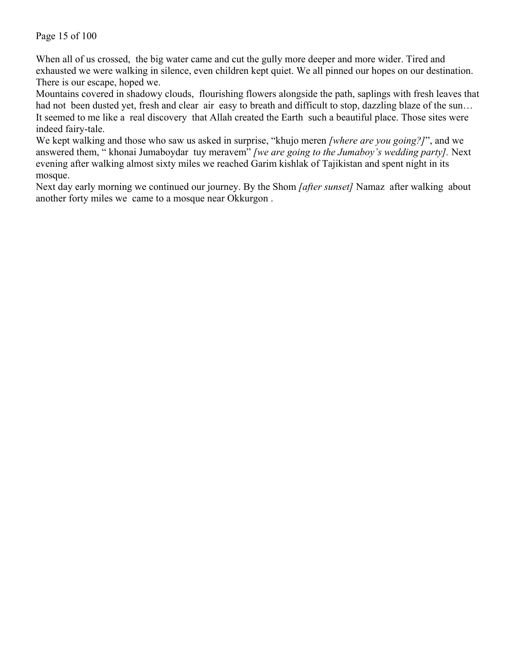Page 15 of 100

When all of us crossed, the big water came and cut the gully more deeper and more wider. Tired and exhausted we were walking in silence, even children kept quiet. We all pinned our hopes on our destination. There is our escape, hoped we.

Mountains covered in shadowy clouds, flourishing flowers alongside the path, saplings with fresh leaves that had not been dusted yet, fresh and clear air easy to breath and difficult to stop, dazzling blaze of the sun... It seemed to me like a real discovery that Allah created the Earth such a beautiful place. Those sites were indeed fairy-tale.

We kept walking and those who saw us asked in surprise, "khujo meren *[where are you going?]*", and we answered them, " khonai Jumaboydar tuy meravem" *[we are going to the Jumaboy's wedding party].* Next evening after walking almost sixty miles we reached Garim kishlak of Tajikistan and spent night in its mosque.

Next day early morning we continued our journey. By the Shom *[after sunset]* Namaz after walking about another forty miles we came to a mosque near Okkurgon .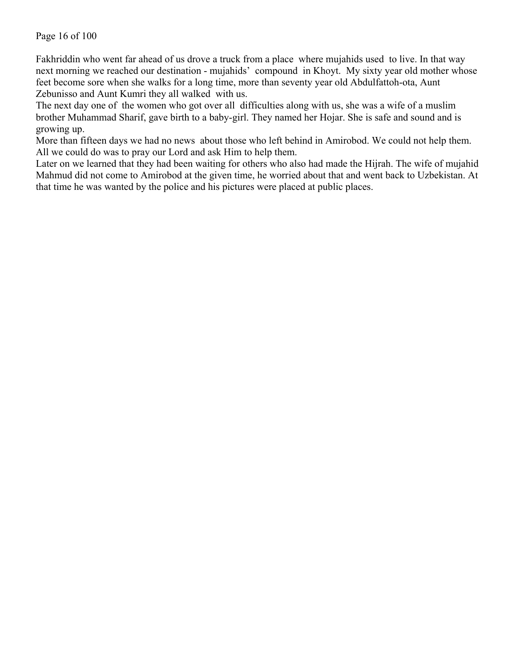### Page 16 of 100

Fakhriddin who went far ahead of us drove a truck from a place where mujahids used to live. In that way next morning we reached our destination - mujahids' compound in Khoyt. My sixty year old mother whose feet become sore when she walks for a long time, more than seventy year old Abdulfattoh-ota, Aunt Zebunisso and Aunt Kumri they all walked with us.

The next day one of the women who got over all difficulties along with us, she was a wife of a muslim brother Muhammad Sharif, gave birth to a baby-girl. They named her Hojar. She is safe and sound and is growing up.

More than fifteen days we had no news about those who left behind in Amirobod. We could not help them. All we could do was to pray our Lord and ask Him to help them.

Later on we learned that they had been waiting for others who also had made the Hijrah. The wife of mujahid Mahmud did not come to Amirobod at the given time, he worried about that and went back to Uzbekistan. At that time he was wanted by the police and his pictures were placed at public places.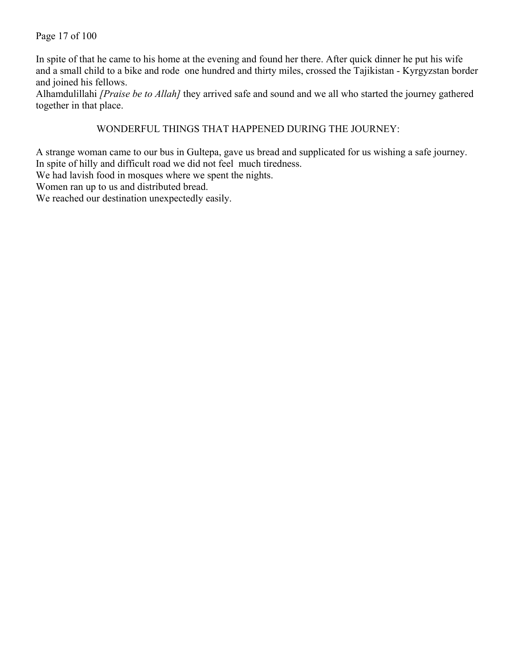## Page 17 of 100

In spite of that he came to his home at the evening and found her there. After quick dinner he put his wife and a small child to a bike and rode one hundred and thirty miles, crossed the Tajikistan - Kyrgyzstan border and joined his fellows.

Alhamdulillahi *[Praise be to Allah]* they arrived safe and sound and we all who started the journey gathered together in that place.

WONDERFUL THINGS THAT HAPPENED DURING THE JOURNEY:

A strange woman came to our bus in Gultepa, gave us bread and supplicated for us wishing a safe journey. In spite of hilly and difficult road we did not feel much tiredness.

We had lavish food in mosques where we spent the nights.

Women ran up to us and distributed bread.

We reached our destination unexpectedly easily.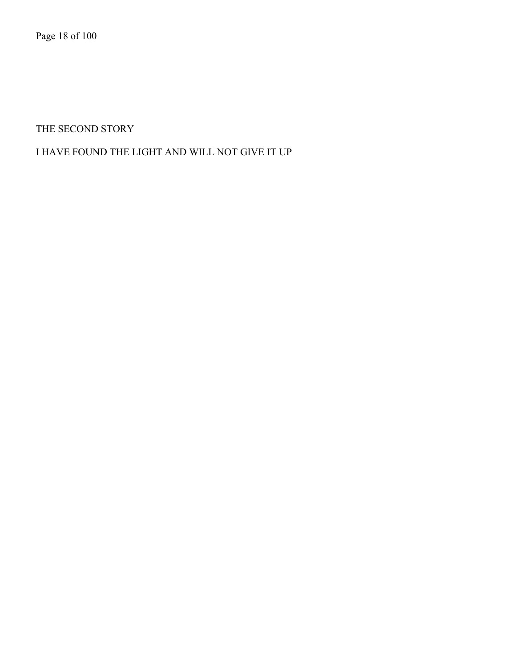Page 18 of 100

# THE SECOND STORY

# I HAVE FOUND THE LIGHT AND WILL NOT GIVE IT UP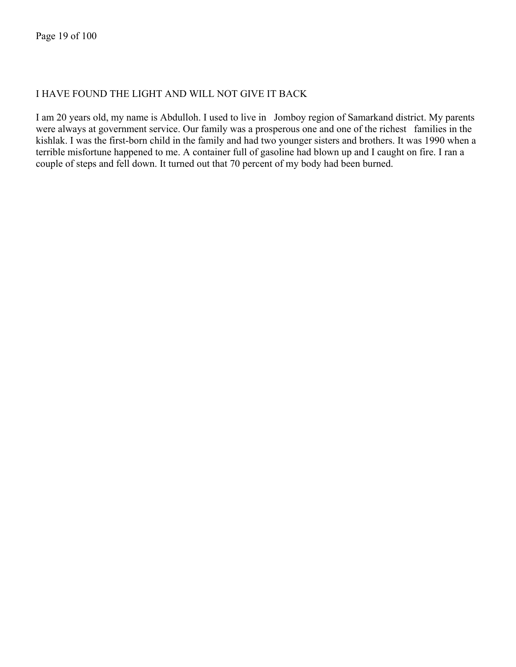## I HAVE FOUND THE LIGHT AND WILL NOT GIVE IT BACK

I am 20 years old, my name is Abdulloh. I used to live in Jomboy region of Samarkand district. My parents were always at government service. Our family was a prosperous one and one of the richest families in the kishlak. I was the first-born child in the family and had two younger sisters and brothers. It was 1990 when a terrible misfortune happened to me. A container full of gasoline had blown up and I caught on fire. I ran a couple of steps and fell down. It turned out that 70 percent of my body had been burned.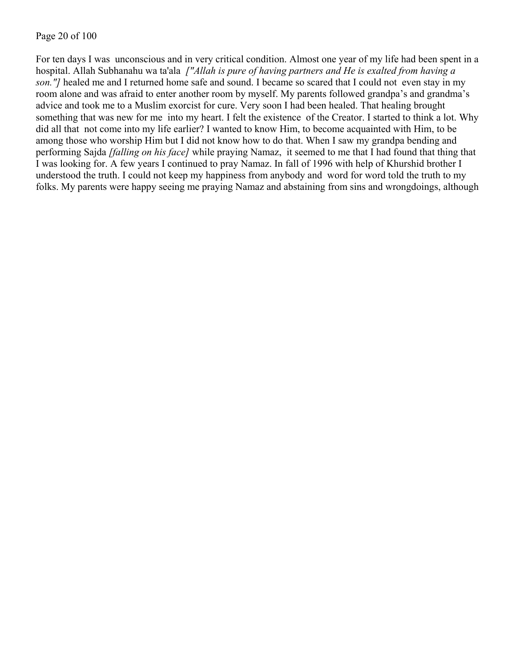For ten days I was unconscious and in very critical condition. Almost one year of my life had been spent in a hospital. Allah Subhanahu wa ta'ala *["Allah is pure of having partners and He is exalted from having a son."]* healed me and I returned home safe and sound. I became so scared that I could not even stay in my room alone and was afraid to enter another room by myself. My parents followed grandpa's and grandma's advice and took me to a Muslim exorcist for cure. Very soon I had been healed. That healing brought something that was new for me into my heart. I felt the existence of the Creator. I started to think a lot. Why did all that not come into my life earlier? I wanted to know Him, to become acquainted with Him, to be among those who worship Him but I did not know how to do that. When I saw my grandpa bending and performing Sajda *[falling on his face]* while praying Namaz, it seemed to me that I had found that thing that I was looking for. A few years I continued to pray Namaz. In fall of 1996 with help of Khurshid brother I understood the truth. I could not keep my happiness from anybody and word for word told the truth to my folks. My parents were happy seeing me praying Namaz and abstaining from sins and wrongdoings, although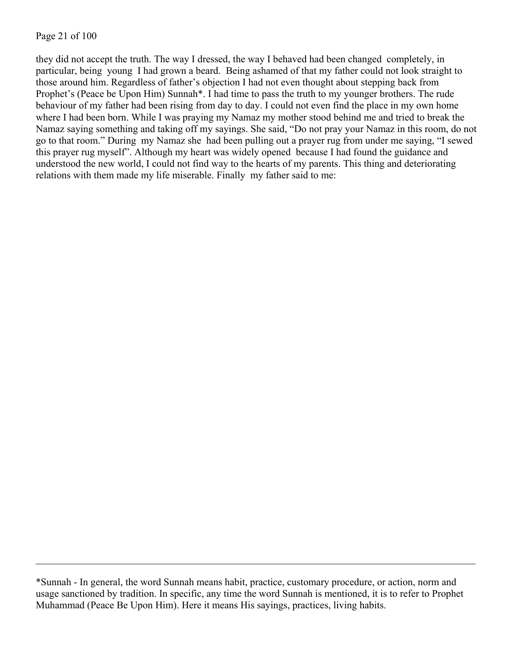they did not accept the truth. The way I dressed, the way I behaved had been changed completely, in particular, being young I had grown a beard. Being ashamed of that my father could not look straight to those around him. Regardless of father's objection I had not even thought about stepping back from Prophet's (Peace be Upon Him) Sunnah\*. I had time to pass the truth to my younger brothers. The rude behaviour of my father had been rising from day to day. I could not even find the place in my own home where I had been born. While I was praying my Namaz my mother stood behind me and tried to break the Namaz saying something and taking off my sayings. She said, "Do not pray your Namaz in this room, do not go to that room." During my Namaz she had been pulling out a prayer rug from under me saying, "I sewed this prayer rug myself". Although my heart was widely opened because I had found the guidance and understood the new world, I could not find way to the hearts of my parents. This thing and deteriorating relations with them made my life miserable. Finally my father said to me:

<sup>\*</sup>Sunnah - In general, the word Sunnah means habit, practice, customary procedure, or action, norm and usage sanctioned by tradition. In specific, any time the word Sunnah is mentioned, it is to refer to Prophet Muhammad (Peace Be Upon Him). Here it means His sayings, practices, living habits.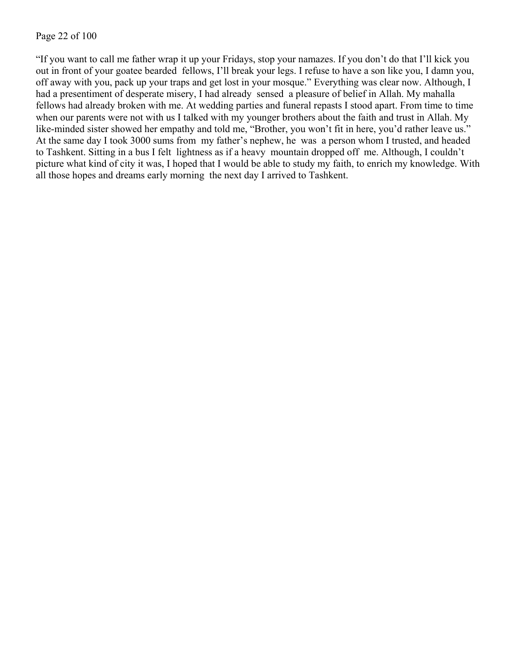"If you want to call me father wrap it up your Fridays, stop your namazes. If you don't do that I'll kick you out in front of your goatee bearded fellows, I'll break your legs. I refuse to have a son like you, I damn you, off away with you, pack up your traps and get lost in your mosque." Everything was clear now. Although, I had a presentiment of desperate misery, I had already sensed a pleasure of belief in Allah. My mahalla fellows had already broken with me. At wedding parties and funeral repasts I stood apart. From time to time when our parents were not with us I talked with my younger brothers about the faith and trust in Allah. My like-minded sister showed her empathy and told me, "Brother, you won't fit in here, you'd rather leave us." At the same day I took 3000 sums from my father's nephew, he was a person whom I trusted, and headed to Tashkent. Sitting in a bus I felt lightness as if a heavy mountain dropped off me. Although, I couldn't picture what kind of city it was, I hoped that I would be able to study my faith, to enrich my knowledge. With all those hopes and dreams early morning the next day I arrived to Tashkent.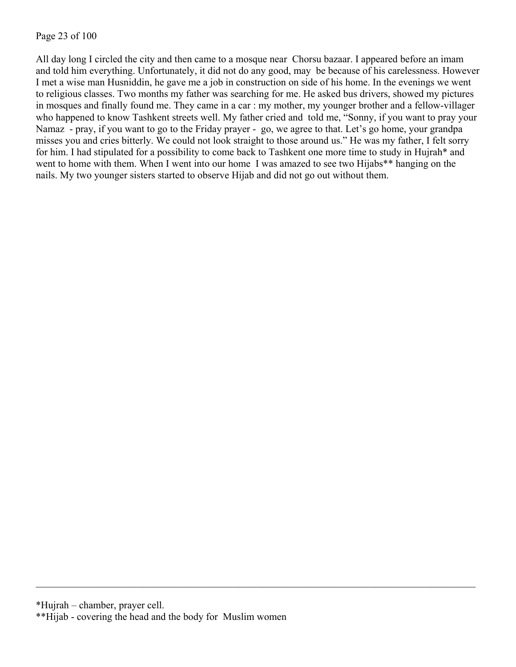All day long I circled the city and then came to a mosque near Chorsu bazaar. I appeared before an imam and told him everything. Unfortunately, it did not do any good, may be because of his carelessness. However I met a wise man Husniddin, he gave me a job in construction on side of his home. In the evenings we went to religious classes. Two months my father was searching for me. He asked bus drivers, showed my pictures in mosques and finally found me. They came in a car : my mother, my younger brother and a fellow-villager who happened to know Tashkent streets well. My father cried and told me, "Sonny, if you want to pray your Namaz - pray, if you want to go to the Friday prayer - go, we agree to that. Let's go home, your grandpa misses you and cries bitterly. We could not look straight to those around us." He was my father, I felt sorry for him. I had stipulated for a possibility to come back to Tashkent one more time to study in Hujrah\* and went to home with them. When I went into our home I was amazed to see two Hijabs<sup>\*\*</sup> hanging on the nails. My two younger sisters started to observe Hijab and did not go out without them.

<sup>\*</sup>Hujrah – chamber, prayer cell.

<sup>\*\*</sup>Hijab - covering the head and the body for Muslim women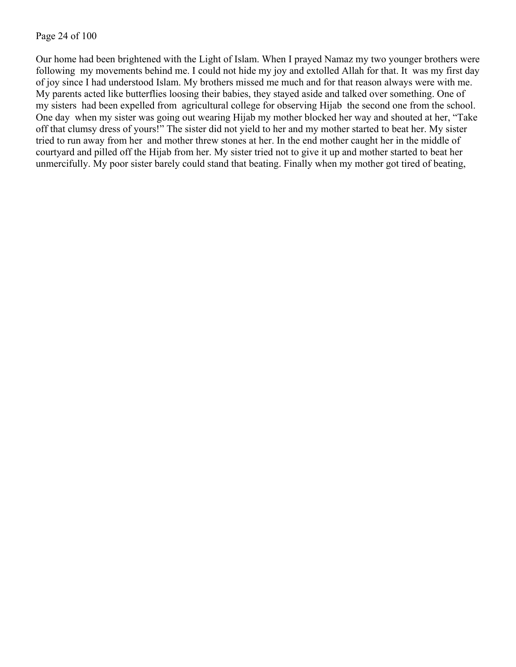Our home had been brightened with the Light of Islam. When I prayed Namaz my two younger brothers were following my movements behind me. I could not hide my joy and extolled Allah for that. It was my first day of joy since I had understood Islam. My brothers missed me much and for that reason always were with me. My parents acted like butterflies loosing their babies, they stayed aside and talked over something. One of my sisters had been expelled from agricultural college for observing Hijab the second one from the school. One day when my sister was going out wearing Hijab my mother blocked her way and shouted at her, "Take off that clumsy dress of yours!" The sister did not yield to her and my mother started to beat her. My sister tried to run away from her and mother threw stones at her. In the end mother caught her in the middle of courtyard and pilled off the Hijab from her. My sister tried not to give it up and mother started to beat her unmercifully. My poor sister barely could stand that beating. Finally when my mother got tired of beating,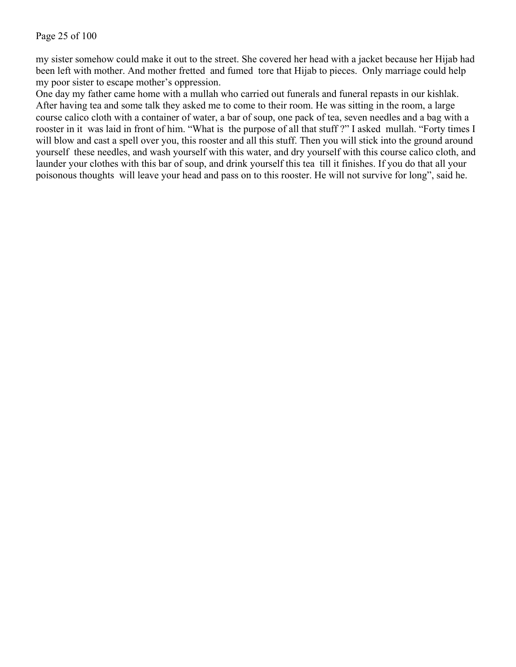my sister somehow could make it out to the street. She covered her head with a jacket because her Hijab had been left with mother. And mother fretted and fumed tore that Hijab to pieces. Only marriage could help my poor sister to escape mother's oppression.

One day my father came home with a mullah who carried out funerals and funeral repasts in our kishlak. After having tea and some talk they asked me to come to their room. He was sitting in the room, a large course calico cloth with a container of water, a bar of soup, one pack of tea, seven needles and a bag with a rooster in it was laid in front of him. "What is the purpose of all that stuff ?" I asked mullah. "Forty times I will blow and cast a spell over you, this rooster and all this stuff. Then you will stick into the ground around yourself these needles, and wash yourself with this water, and dry yourself with this course calico cloth, and launder your clothes with this bar of soup, and drink yourself this tea till it finishes. If you do that all your poisonous thoughts will leave your head and pass on to this rooster. He will not survive for long", said he.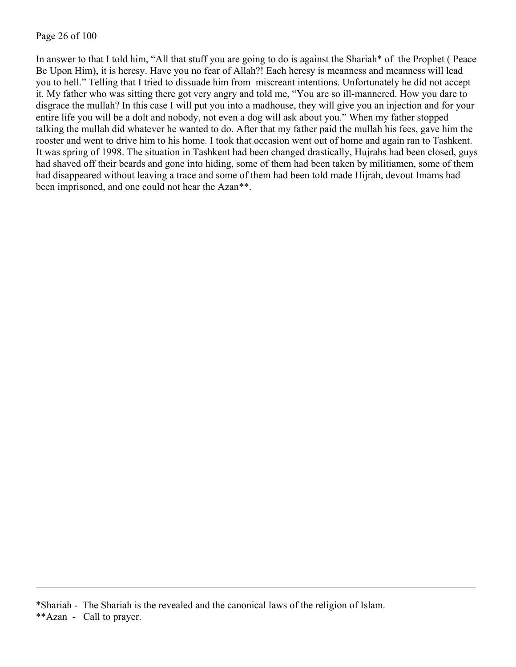In answer to that I told him, "All that stuff you are going to do is against the Shariah\* of the Prophet ( Peace Be Upon Him), it is heresy. Have you no fear of Allah?! Each heresy is meanness and meanness will lead you to hell." Telling that I tried to dissuade him from miscreant intentions. Unfortunately he did not accept it. My father who was sitting there got very angry and told me, "You are so ill-mannered. How you dare to disgrace the mullah? In this case I will put you into a madhouse, they will give you an injection and for your entire life you will be a dolt and nobody, not even a dog will ask about you." When my father stopped talking the mullah did whatever he wanted to do. After that my father paid the mullah his fees, gave him the rooster and went to drive him to his home. I took that occasion went out of home and again ran to Tashkent. It was spring of 1998. The situation in Tashkent had been changed drastically, Hujrahs had been closed, guys had shaved off their beards and gone into hiding, some of them had been taken by militiamen, some of them had disappeared without leaving a trace and some of them had been told made Hijrah, devout Imams had been imprisoned, and one could not hear the Azan\*\*.

<sup>\*</sup>Shariah - The Shariah is the revealed and the canonical laws of the religion of Islam.

<sup>\*\*</sup>Azan - Call to prayer.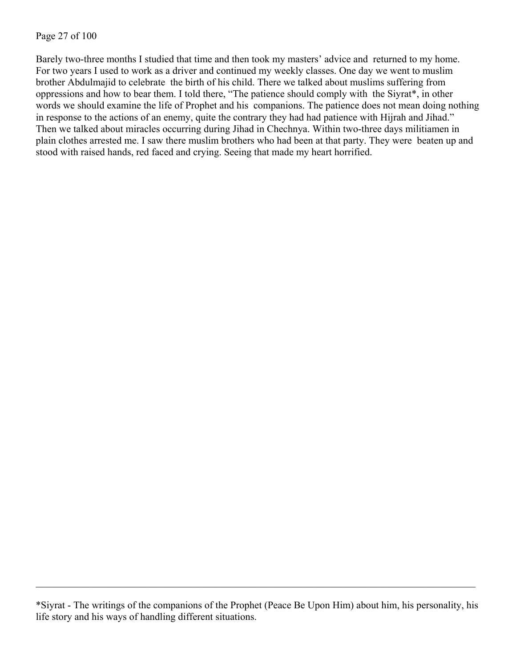Barely two-three months I studied that time and then took my masters' advice and returned to my home. For two years I used to work as a driver and continued my weekly classes. One day we went to muslim brother Abdulmajid to celebrate the birth of his child. There we talked about muslims suffering from oppressions and how to bear them. I told there, "The patience should comply with the Siyrat\*, in other words we should examine the life of Prophet and his companions. The patience does not mean doing nothing in response to the actions of an enemy, quite the contrary they had had patience with Hijrah and Jihad." Then we talked about miracles occurring during Jihad in Chechnya. Within two-three days militiamen in plain clothes arrested me. I saw there muslim brothers who had been at that party. They were beaten up and stood with raised hands, red faced and crying. Seeing that made my heart horrified.

<sup>\*</sup>Siyrat - The writings of the companions of the Prophet (Peace Be Upon Him) about him, his personality, his life story and his ways of handling different situations.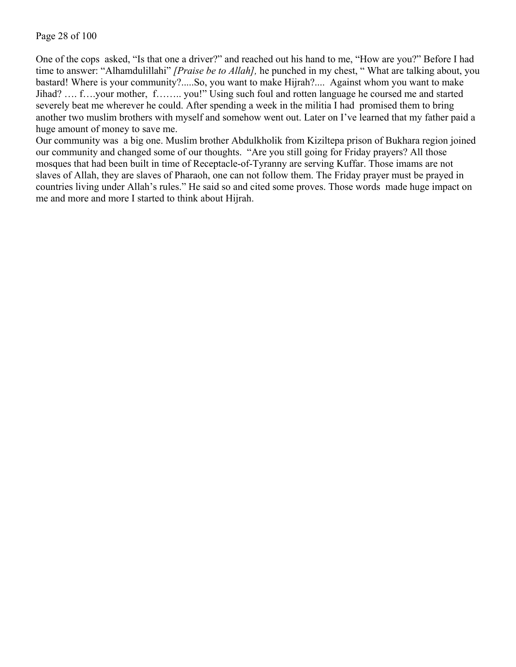### Page 28 of 100

One of the cops asked, "Is that one a driver?" and reached out his hand to me, "How are you?" Before I had time to answer: "Alhamdulillahi" *[Praise be to Allah],* he punched in my chest, " What are talking about, you bastard! Where is your community?.....So, you want to make Hijrah?.... Against whom you want to make Jihad? …. f….your mother, f…….. you!" Using such foul and rotten language he coursed me and started severely beat me wherever he could. After spending a week in the militia I had promised them to bring another two muslim brothers with myself and somehow went out. Later on I've learned that my father paid a huge amount of money to save me.

Our community was a big one. Muslim brother Abdulkholik from Kiziltepa prison of Bukhara region joined our community and changed some of our thoughts. "Are you still going for Friday prayers? All those mosques that had been built in time of Receptacle-of-Tyranny are serving Kuffar. Those imams are not slaves of Allah, they are slaves of Pharaoh, one can not follow them. The Friday prayer must be prayed in countries living under Allah's rules." He said so and cited some proves. Those words made huge impact on me and more and more I started to think about Hijrah.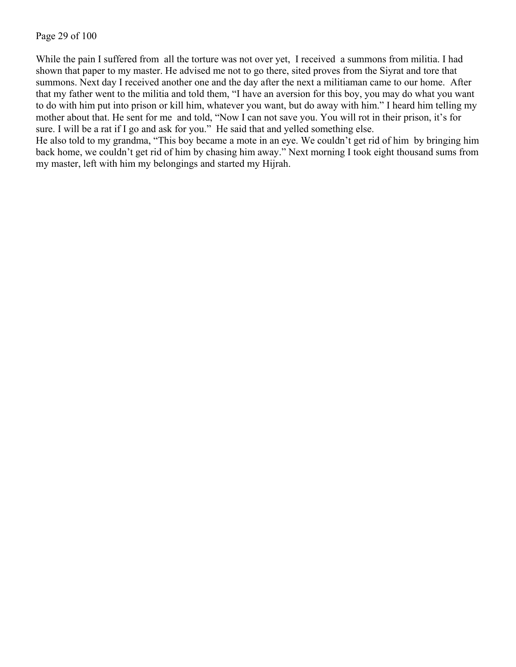While the pain I suffered from all the torture was not over yet, I received a summons from militia. I had shown that paper to my master. He advised me not to go there, sited proves from the Siyrat and tore that summons. Next day I received another one and the day after the next a militiaman came to our home. After that my father went to the militia and told them, "I have an aversion for this boy, you may do what you want to do with him put into prison or kill him, whatever you want, but do away with him." I heard him telling my mother about that. He sent for me and told, "Now I can not save you. You will rot in their prison, it's for sure. I will be a rat if I go and ask for you." He said that and yelled something else.

He also told to my grandma, "This boy became a mote in an eye. We couldn't get rid of him by bringing him back home, we couldn't get rid of him by chasing him away." Next morning I took eight thousand sums from my master, left with him my belongings and started my Hijrah.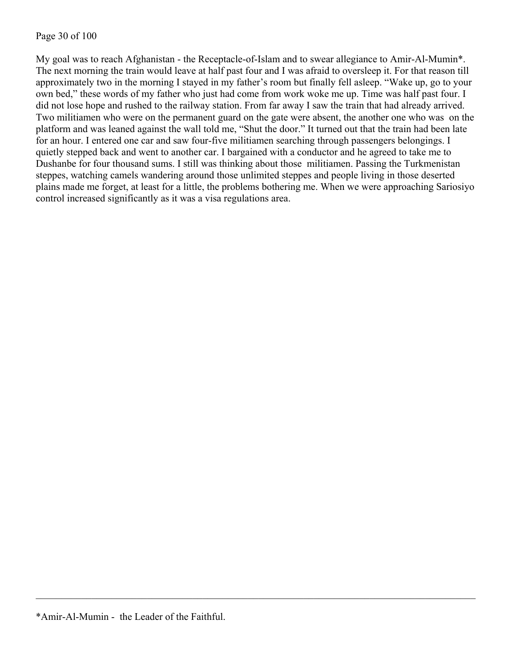My goal was to reach Afghanistan - the Receptacle-of-Islam and to swear allegiance to Amir-Al-Mumin\*. The next morning the train would leave at half past four and I was afraid to oversleep it. For that reason till approximately two in the morning I stayed in my father's room but finally fell asleep. "Wake up, go to your own bed," these words of my father who just had come from work woke me up. Time was half past four. I did not lose hope and rushed to the railway station. From far away I saw the train that had already arrived. Two militiamen who were on the permanent guard on the gate were absent, the another one who was on the platform and was leaned against the wall told me, "Shut the door." It turned out that the train had been late for an hour. I entered one car and saw four-five militiamen searching through passengers belongings. I quietly stepped back and went to another car. I bargained with a conductor and he agreed to take me to Dushanbe for four thousand sums. I still was thinking about those militiamen. Passing the Turkmenistan steppes, watching camels wandering around those unlimited steppes and people living in those deserted plains made me forget, at least for a little, the problems bothering me. When we were approaching Sariosiyo control increased significantly as it was a visa regulations area.

<sup>\*</sup>Amir-Al-Mumin - the Leader of the Faithful.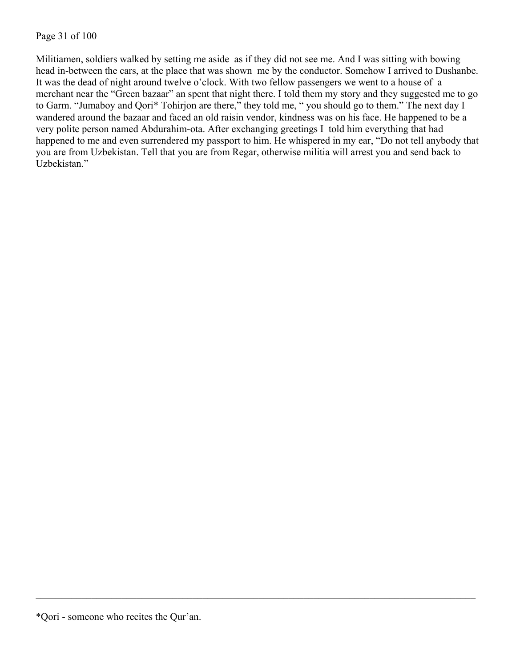## Page 31 of 100

Militiamen, soldiers walked by setting me aside as if they did not see me. And I was sitting with bowing head in-between the cars, at the place that was shown me by the conductor. Somehow I arrived to Dushanbe. It was the dead of night around twelve o'clock. With two fellow passengers we went to a house of a merchant near the "Green bazaar" an spent that night there. I told them my story and they suggested me to go to Garm. "Jumaboy and Qori\* Tohirjon are there," they told me, " you should go to them." The next day I wandered around the bazaar and faced an old raisin vendor, kindness was on his face. He happened to be a very polite person named Abdurahim-ota. After exchanging greetings I told him everything that had happened to me and even surrendered my passport to him. He whispered in my ear, "Do not tell anybody that you are from Uzbekistan. Tell that you are from Regar, otherwise militia will arrest you and send back to Uzbekistan."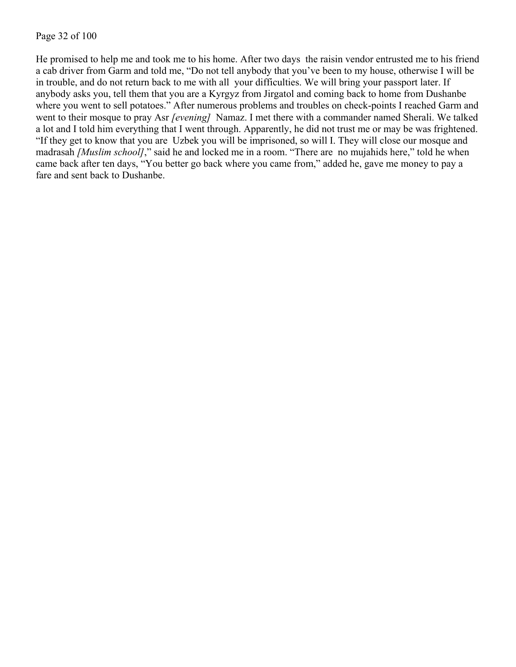He promised to help me and took me to his home. After two days the raisin vendor entrusted me to his friend a cab driver from Garm and told me, "Do not tell anybody that you've been to my house, otherwise I will be in trouble, and do not return back to me with all your difficulties. We will bring your passport later. If anybody asks you, tell them that you are a Kyrgyz from Jirgatol and coming back to home from Dushanbe where you went to sell potatoes." After numerous problems and troubles on check-points I reached Garm and went to their mosque to pray Asr *[evening]* Namaz. I met there with a commander named Sherali. We talked a lot and I told him everything that I went through. Apparently, he did not trust me or may be was frightened. "If they get to know that you are Uzbek you will be imprisoned, so will I. They will close our mosque and madrasah *[Muslim school]*," said he and locked me in a room. "There are no mujahids here," told he when came back after ten days, "You better go back where you came from," added he, gave me money to pay a fare and sent back to Dushanbe.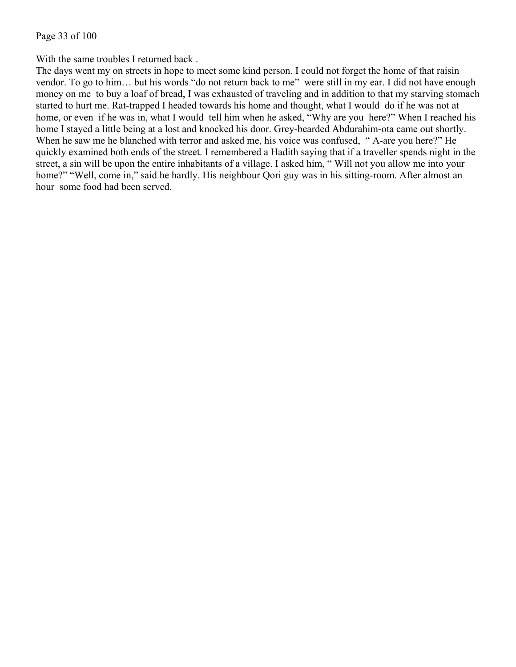Page 33 of 100

With the same troubles I returned back .

The days went my on streets in hope to meet some kind person. I could not forget the home of that raisin vendor. To go to him… but his words "do not return back to me" were still in my ear. I did not have enough money on me to buy a loaf of bread, I was exhausted of traveling and in addition to that my starving stomach started to hurt me. Rat-trapped I headed towards his home and thought, what I would do if he was not at home, or even if he was in, what I would tell him when he asked, "Why are you here?" When I reached his home I stayed a little being at a lost and knocked his door. Grey-bearded Abdurahim-ota came out shortly. When he saw me he blanched with terror and asked me, his voice was confused, " A-are you here?" He quickly examined both ends of the street. I remembered a Hadith saying that if a traveller spends night in the street, a sin will be upon the entire inhabitants of a village. I asked him, " Will not you allow me into your home?" "Well, come in," said he hardly. His neighbour Qori guy was in his sitting-room. After almost an hour some food had been served.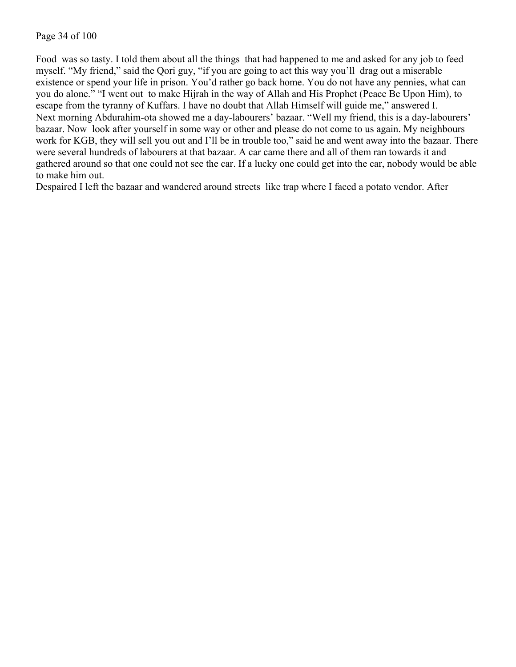Food was so tasty. I told them about all the things that had happened to me and asked for any job to feed myself. "My friend," said the Qori guy, "if you are going to act this way you'll drag out a miserable existence or spend your life in prison. You'd rather go back home. You do not have any pennies, what can you do alone." "I went out to make Hijrah in the way of Allah and His Prophet (Peace Be Upon Him), to escape from the tyranny of Kuffars. I have no doubt that Allah Himself will guide me," answered I. Next morning Abdurahim-ota showed me a day-labourers' bazaar. "Well my friend, this is a day-labourers' bazaar. Now look after yourself in some way or other and please do not come to us again. My neighbours work for KGB, they will sell you out and I'll be in trouble too," said he and went away into the bazaar. There were several hundreds of labourers at that bazaar. A car came there and all of them ran towards it and gathered around so that one could not see the car. If a lucky one could get into the car, nobody would be able to make him out.

Despaired I left the bazaar and wandered around streets like trap where I faced a potato vendor. After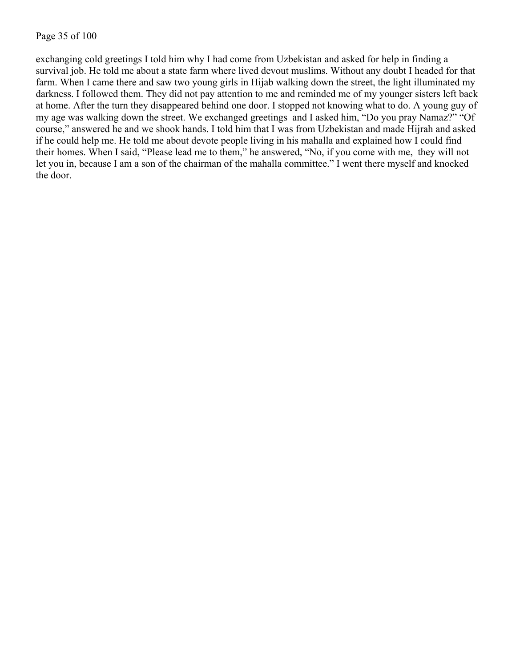### Page 35 of 100

exchanging cold greetings I told him why I had come from Uzbekistan and asked for help in finding a survival job. He told me about a state farm where lived devout muslims. Without any doubt I headed for that farm. When I came there and saw two young girls in Hijab walking down the street, the light illuminated my darkness. I followed them. They did not pay attention to me and reminded me of my younger sisters left back at home. After the turn they disappeared behind one door. I stopped not knowing what to do. A young guy of my age was walking down the street. We exchanged greetings and I asked him, "Do you pray Namaz?" "Of course," answered he and we shook hands. I told him that I was from Uzbekistan and made Hijrah and asked if he could help me. He told me about devote people living in his mahalla and explained how I could find their homes. When I said, "Please lead me to them," he answered, "No, if you come with me, they will not let you in, because I am a son of the chairman of the mahalla committee." I went there myself and knocked the door.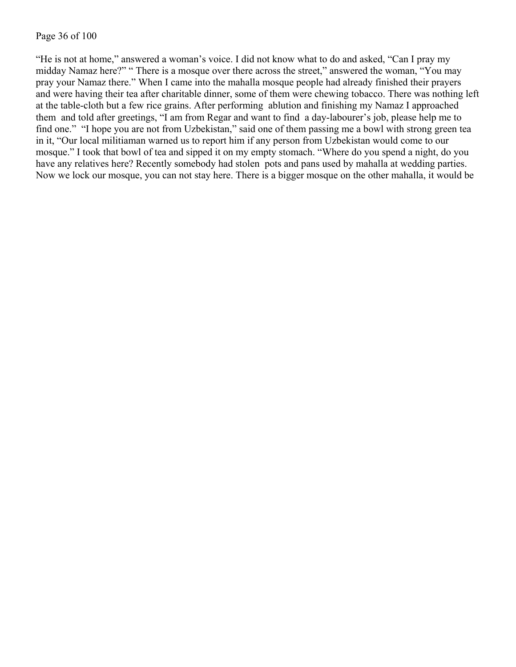"He is not at home," answered a woman's voice. I did not know what to do and asked, "Can I pray my midday Namaz here?" " There is a mosque over there across the street," answered the woman, "You may pray your Namaz there." When I came into the mahalla mosque people had already finished their prayers and were having their tea after charitable dinner, some of them were chewing tobacco. There was nothing left at the table-cloth but a few rice grains. After performing ablution and finishing my Namaz I approached them and told after greetings, "I am from Regar and want to find a day-labourer's job, please help me to find one." "I hope you are not from Uzbekistan," said one of them passing me a bowl with strong green tea in it, "Our local militiaman warned us to report him if any person from Uzbekistan would come to our mosque." I took that bowl of tea and sipped it on my empty stomach. "Where do you spend a night, do you have any relatives here? Recently somebody had stolen pots and pans used by mahalla at wedding parties. Now we lock our mosque, you can not stay here. There is a bigger mosque on the other mahalla, it would be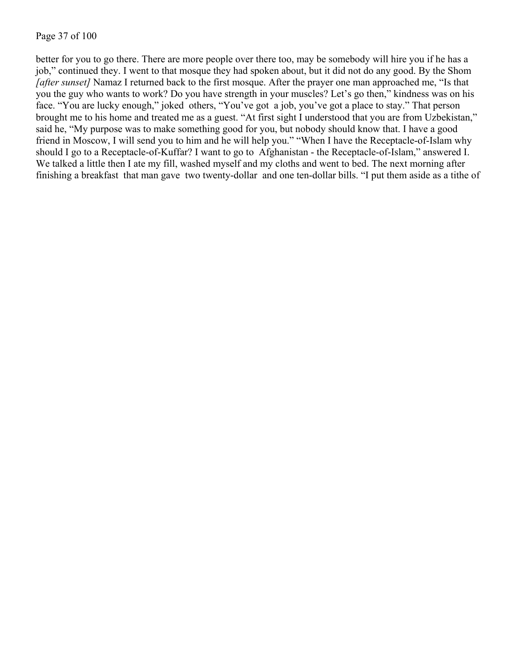better for you to go there. There are more people over there too, may be somebody will hire you if he has a job," continued they. I went to that mosque they had spoken about, but it did not do any good. By the Shom *[after sunset]* Namaz I returned back to the first mosque. After the prayer one man approached me, "Is that you the guy who wants to work? Do you have strength in your muscles? Let's go then," kindness was on his face. "You are lucky enough," joked others, "You've got a job, you've got a place to stay." That person brought me to his home and treated me as a guest. "At first sight I understood that you are from Uzbekistan," said he, "My purpose was to make something good for you, but nobody should know that. I have a good friend in Moscow, I will send you to him and he will help you." "When I have the Receptacle-of-Islam why should I go to a Receptacle-of-Kuffar? I want to go to Afghanistan - the Receptacle-of-Islam," answered I. We talked a little then I ate my fill, washed myself and my cloths and went to bed. The next morning after finishing a breakfast that man gave two twenty-dollar and one ten-dollar bills. "I put them aside as a tithe of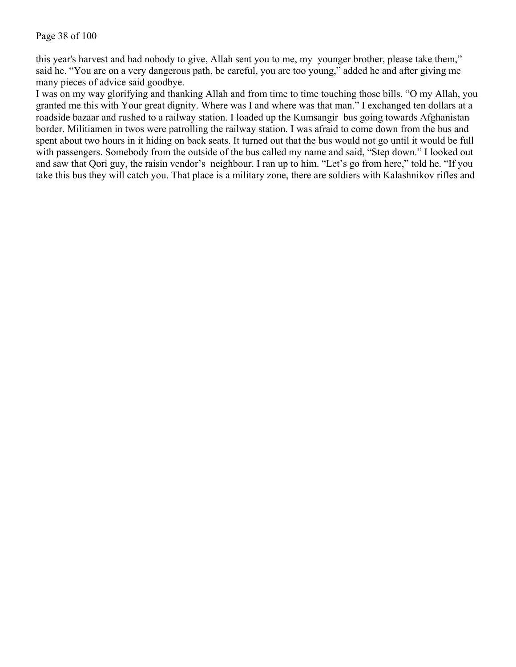this year's harvest and had nobody to give, Allah sent you to me, my younger brother, please take them," said he. "You are on a very dangerous path, be careful, you are too young," added he and after giving me many pieces of advice said goodbye.

I was on my way glorifying and thanking Allah and from time to time touching those bills. "O my Allah, you granted me this with Your great dignity. Where was I and where was that man." I exchanged ten dollars at a roadside bazaar and rushed to a railway station. I loaded up the Kumsangir bus going towards Afghanistan border. Militiamen in twos were patrolling the railway station. I was afraid to come down from the bus and spent about two hours in it hiding on back seats. It turned out that the bus would not go until it would be full with passengers. Somebody from the outside of the bus called my name and said, "Step down." I looked out and saw that Qori guy, the raisin vendor's neighbour. I ran up to him. "Let's go from here," told he. "If you take this bus they will catch you. That place is a military zone, there are soldiers with Kalashnikov rifles and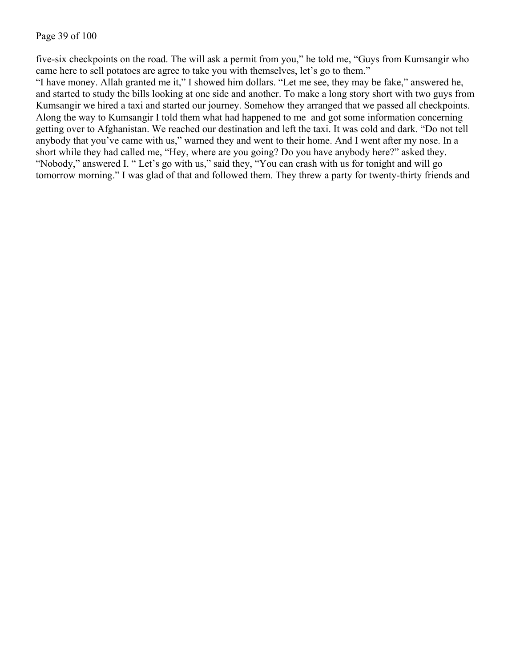five-six checkpoints on the road. The will ask a permit from you," he told me, "Guys from Kumsangir who came here to sell potatoes are agree to take you with themselves, let's go to them."

"I have money. Allah granted me it," I showed him dollars. "Let me see, they may be fake," answered he, and started to study the bills looking at one side and another. To make a long story short with two guys from Kumsangir we hired a taxi and started our journey. Somehow they arranged that we passed all checkpoints. Along the way to Kumsangir I told them what had happened to me and got some information concerning getting over to Afghanistan. We reached our destination and left the taxi. It was cold and dark. "Do not tell anybody that you've came with us," warned they and went to their home. And I went after my nose. In a short while they had called me, "Hey, where are you going? Do you have anybody here?" asked they. "Nobody," answered I. " Let's go with us," said they, "You can crash with us for tonight and will go tomorrow morning." I was glad of that and followed them. They threw a party for twenty-thirty friends and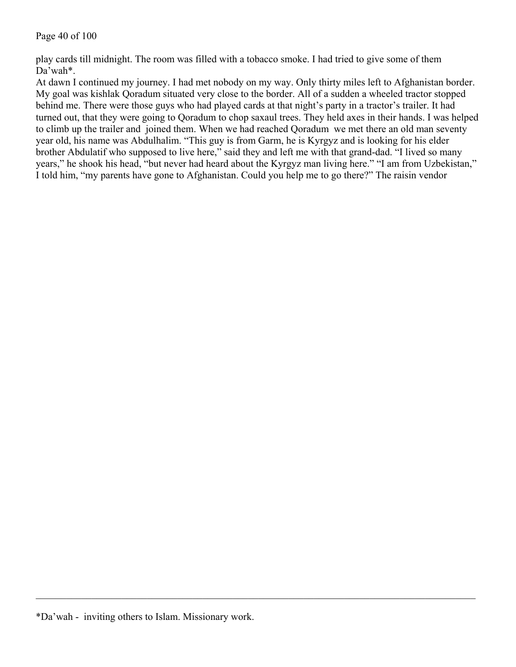play cards till midnight. The room was filled with a tobacco smoke. I had tried to give some of them Da'wah\*.

At dawn I continued my journey. I had met nobody on my way. Only thirty miles left to Afghanistan border. My goal was kishlak Qoradum situated very close to the border. All of a sudden a wheeled tractor stopped behind me. There were those guys who had played cards at that night's party in a tractor's trailer. It had turned out, that they were going to Qoradum to chop saxaul trees. They held axes in their hands. I was helped to climb up the trailer and joined them. When we had reached Qoradum we met there an old man seventy year old, his name was Abdulhalim. "This guy is from Garm, he is Kyrgyz and is looking for his elder brother Abdulatif who supposed to live here," said they and left me with that grand-dad. "I lived so many years," he shook his head, "but never had heard about the Kyrgyz man living here." "I am from Uzbekistan," I told him, "my parents have gone to Afghanistan. Could you help me to go there?" The raisin vendor

 $\_$  , and the contribution of the contribution of the contribution of the contribution of  $\mathcal{L}_\text{max}$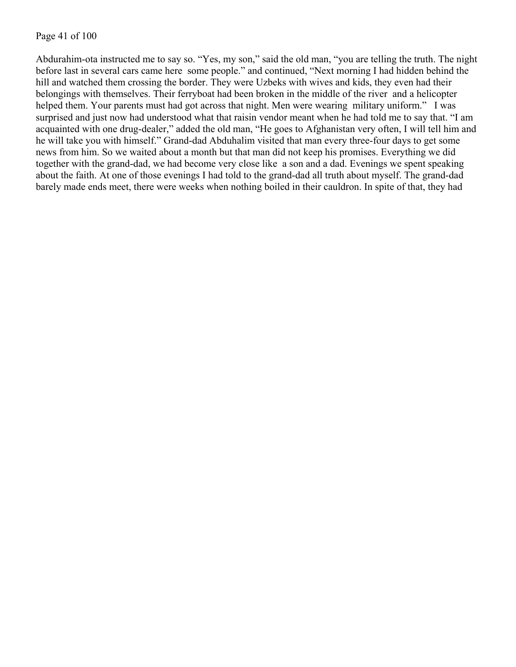Abdurahim-ota instructed me to say so. "Yes, my son," said the old man, "you are telling the truth. The night before last in several cars came here some people." and continued, "Next morning I had hidden behind the hill and watched them crossing the border. They were Uzbeks with wives and kids, they even had their belongings with themselves. Their ferryboat had been broken in the middle of the river and a helicopter helped them. Your parents must had got across that night. Men were wearing military uniform." I was surprised and just now had understood what that raisin vendor meant when he had told me to say that. "I am acquainted with one drug-dealer," added the old man, "He goes to Afghanistan very often, I will tell him and he will take you with himself." Grand-dad Abduhalim visited that man every three-four days to get some news from him. So we waited about a month but that man did not keep his promises. Everything we did together with the grand-dad, we had become very close like a son and a dad. Evenings we spent speaking about the faith. At one of those evenings I had told to the grand-dad all truth about myself. The grand-dad barely made ends meet, there were weeks when nothing boiled in their cauldron. In spite of that, they had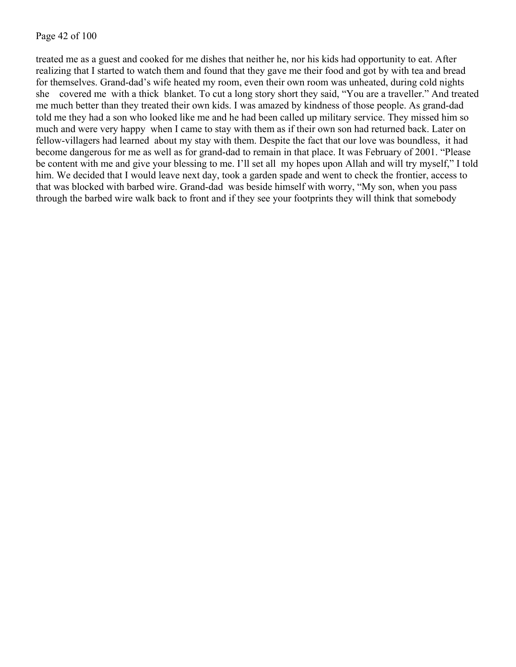treated me as a guest and cooked for me dishes that neither he, nor his kids had opportunity to eat. After realizing that I started to watch them and found that they gave me their food and got by with tea and bread for themselves. Grand-dad's wife heated my room, even their own room was unheated, during cold nights she covered me with a thick blanket. To cut a long story short they said, "You are a traveller." And treated me much better than they treated their own kids. I was amazed by kindness of those people. As grand-dad told me they had a son who looked like me and he had been called up military service. They missed him so much and were very happy when I came to stay with them as if their own son had returned back. Later on fellow-villagers had learned about my stay with them. Despite the fact that our love was boundless, it had become dangerous for me as well as for grand-dad to remain in that place. It was February of 2001. "Please be content with me and give your blessing to me. I'll set all my hopes upon Allah and will try myself," I told him. We decided that I would leave next day, took a garden spade and went to check the frontier, access to that was blocked with barbed wire. Grand-dad was beside himself with worry, "My son, when you pass through the barbed wire walk back to front and if they see your footprints they will think that somebody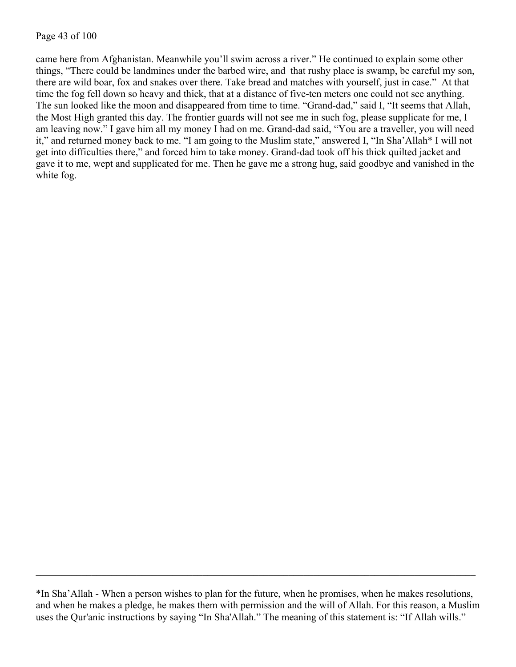## Page 43 of 100

came here from Afghanistan. Meanwhile you'll swim across a river." He continued to explain some other things, "There could be landmines under the barbed wire, and that rushy place is swamp, be careful my son, there are wild boar, fox and snakes over there. Take bread and matches with yourself, just in case." At that time the fog fell down so heavy and thick, that at a distance of five-ten meters one could not see anything. The sun looked like the moon and disappeared from time to time. "Grand-dad," said I, "It seems that Allah, the Most High granted this day. The frontier guards will not see me in such fog, please supplicate for me, I am leaving now." I gave him all my money I had on me. Grand-dad said, "You are a traveller, you will need it," and returned money back to me. "I am going to the Muslim state," answered I, "In Sha'Allah\* I will not get into difficulties there," and forced him to take money. Grand-dad took off his thick quilted jacket and gave it to me, wept and supplicated for me. Then he gave me a strong hug, said goodbye and vanished in the white fog.

 $\mathcal{L}_\mathcal{L} = \{ \mathcal{L}_\mathcal{L} = \{ \mathcal{L}_\mathcal{L} = \{ \mathcal{L}_\mathcal{L} = \{ \mathcal{L}_\mathcal{L} = \{ \mathcal{L}_\mathcal{L} = \{ \mathcal{L}_\mathcal{L} = \{ \mathcal{L}_\mathcal{L} = \{ \mathcal{L}_\mathcal{L} = \{ \mathcal{L}_\mathcal{L} = \{ \mathcal{L}_\mathcal{L} = \{ \mathcal{L}_\mathcal{L} = \{ \mathcal{L}_\mathcal{L} = \{ \mathcal{L}_\mathcal{L} = \{ \mathcal{L}_\mathcal{$ 

<sup>\*</sup>In Sha'Allah - When a person wishes to plan for the future, when he promises, when he makes resolutions, and when he makes a pledge, he makes them with permission and the will of Allah. For this reason, a Muslim uses the Qur'anic instructions by saying "In Sha'Allah." The meaning of this statement is: "If Allah wills."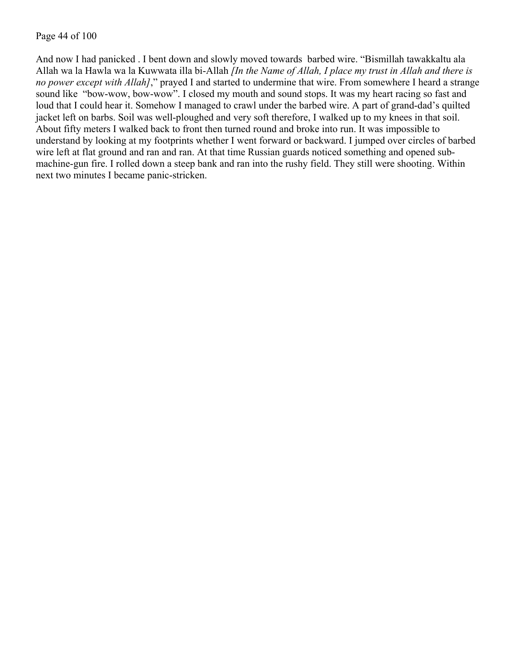And now I had panicked . I bent down and slowly moved towards barbed wire. "Bismillah tawakkaltu ala Allah wa la Hawla wa la Kuwwata illa bi-Allah *[In the Name of Allah, I place my trust in Allah and there is no power except with Allah]*," prayed I and started to undermine that wire. From somewhere I heard a strange sound like "bow-wow, bow-wow". I closed my mouth and sound stops. It was my heart racing so fast and loud that I could hear it. Somehow I managed to crawl under the barbed wire. A part of grand-dad's quilted jacket left on barbs. Soil was well-ploughed and very soft therefore, I walked up to my knees in that soil. About fifty meters I walked back to front then turned round and broke into run. It was impossible to understand by looking at my footprints whether I went forward or backward. I jumped over circles of barbed wire left at flat ground and ran and ran. At that time Russian guards noticed something and opened submachine-gun fire. I rolled down a steep bank and ran into the rushy field. They still were shooting. Within next two minutes I became panic-stricken.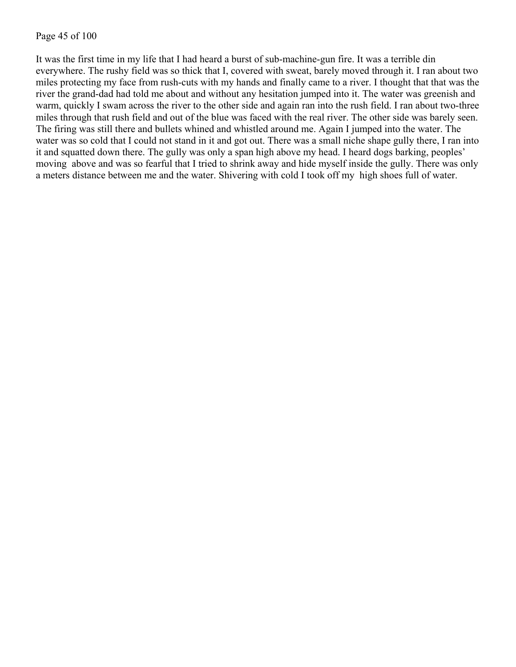### Page 45 of 100

It was the first time in my life that I had heard a burst of sub-machine-gun fire. It was a terrible din everywhere. The rushy field was so thick that I, covered with sweat, barely moved through it. I ran about two miles protecting my face from rush-cuts with my hands and finally came to a river. I thought that that was the river the grand-dad had told me about and without any hesitation jumped into it. The water was greenish and warm, quickly I swam across the river to the other side and again ran into the rush field. I ran about two-three miles through that rush field and out of the blue was faced with the real river. The other side was barely seen. The firing was still there and bullets whined and whistled around me. Again I jumped into the water. The water was so cold that I could not stand in it and got out. There was a small niche shape gully there, I ran into it and squatted down there. The gully was only a span high above my head. I heard dogs barking, peoples' moving above and was so fearful that I tried to shrink away and hide myself inside the gully. There was only a meters distance between me and the water. Shivering with cold I took off my high shoes full of water.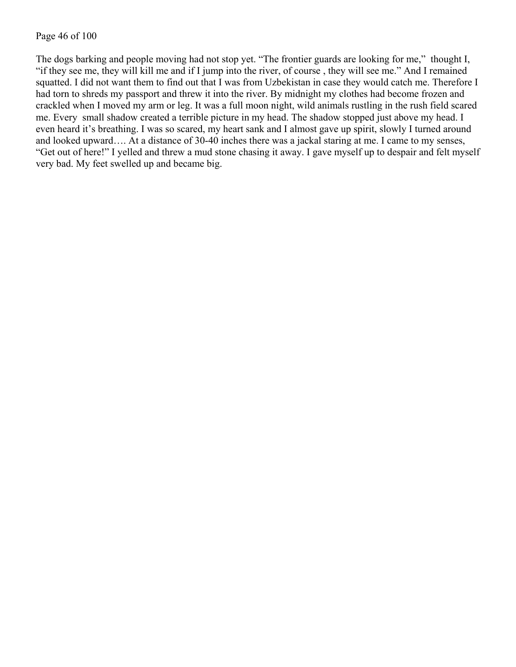The dogs barking and people moving had not stop yet. "The frontier guards are looking for me," thought I, "if they see me, they will kill me and if I jump into the river, of course , they will see me." And I remained squatted. I did not want them to find out that I was from Uzbekistan in case they would catch me. Therefore I had torn to shreds my passport and threw it into the river. By midnight my clothes had become frozen and crackled when I moved my arm or leg. It was a full moon night, wild animals rustling in the rush field scared me. Every small shadow created a terrible picture in my head. The shadow stopped just above my head. I even heard it's breathing. I was so scared, my heart sank and I almost gave up spirit, slowly I turned around and looked upward…. At a distance of 30-40 inches there was a jackal staring at me. I came to my senses, "Get out of here!" I yelled and threw a mud stone chasing it away. I gave myself up to despair and felt myself very bad. My feet swelled up and became big.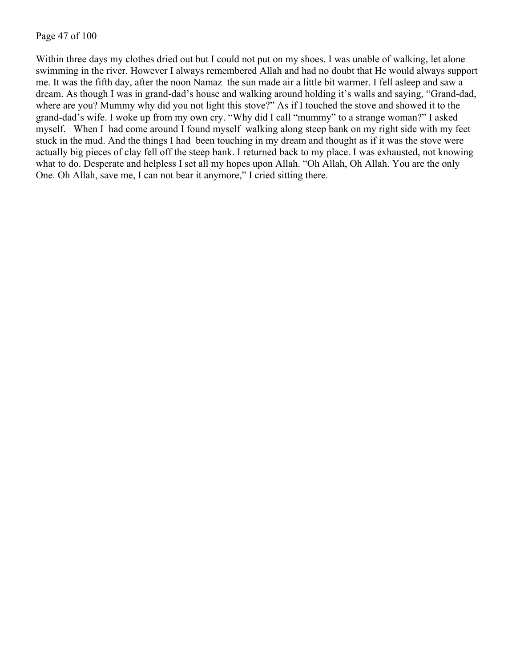Within three days my clothes dried out but I could not put on my shoes. I was unable of walking, let alone swimming in the river. However I always remembered Allah and had no doubt that He would always support me. It was the fifth day, after the noon Namaz the sun made air a little bit warmer. I fell asleep and saw a dream. As though I was in grand-dad's house and walking around holding it's walls and saying, "Grand-dad, where are you? Mummy why did you not light this stove?" As if I touched the stove and showed it to the grand-dad's wife. I woke up from my own cry. "Why did I call "mummy" to a strange woman?" I asked myself. When I had come around I found myself walking along steep bank on my right side with my feet stuck in the mud. And the things I had been touching in my dream and thought as if it was the stove were actually big pieces of clay fell off the steep bank. I returned back to my place. I was exhausted, not knowing what to do. Desperate and helpless I set all my hopes upon Allah. "Oh Allah, Oh Allah. You are the only One. Oh Allah, save me, I can not bear it anymore," I cried sitting there.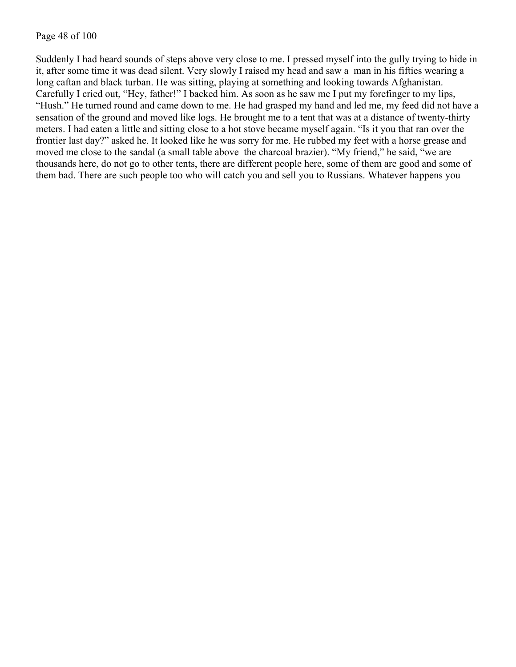Suddenly I had heard sounds of steps above very close to me. I pressed myself into the gully trying to hide in it, after some time it was dead silent. Very slowly I raised my head and saw a man in his fifties wearing a long caftan and black turban. He was sitting, playing at something and looking towards Afghanistan. Carefully I cried out, "Hey, father!" I backed him. As soon as he saw me I put my forefinger to my lips, "Hush." He turned round and came down to me. He had grasped my hand and led me, my feed did not have a sensation of the ground and moved like logs. He brought me to a tent that was at a distance of twenty-thirty meters. I had eaten a little and sitting close to a hot stove became myself again. "Is it you that ran over the frontier last day?" asked he. It looked like he was sorry for me. He rubbed my feet with a horse grease and moved me close to the sandal (a small table above the charcoal brazier). "My friend," he said, "we are thousands here, do not go to other tents, there are different people here, some of them are good and some of them bad. There are such people too who will catch you and sell you to Russians. Whatever happens you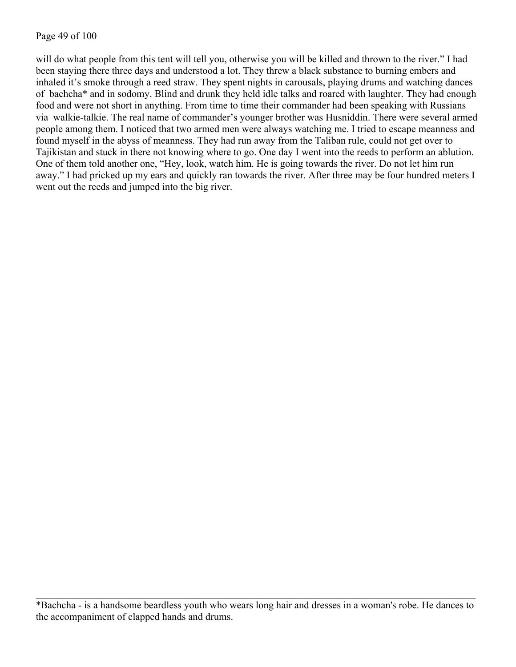will do what people from this tent will tell you, otherwise you will be killed and thrown to the river." I had been staying there three days and understood a lot. They threw a black substance to burning embers and inhaled it's smoke through a reed straw. They spent nights in carousals, playing drums and watching dances of bachcha\* and in sodomy. Blind and drunk they held idle talks and roared with laughter. They had enough food and were not short in anything. From time to time their commander had been speaking with Russians via walkie-talkie. The real name of commander's younger brother was Husniddin. There were several armed people among them. I noticed that two armed men were always watching me. I tried to escape meanness and found myself in the abyss of meanness. They had run away from the Taliban rule, could not get over to Tajikistan and stuck in there not knowing where to go. One day I went into the reeds to perform an ablution. One of them told another one, "Hey, look, watch him. He is going towards the river. Do not let him run away." I had pricked up my ears and quickly ran towards the river. After three may be four hundred meters I went out the reeds and jumped into the big river.

 $\_$  , and the contribution of the contribution of the contribution of the contribution of  $\mathcal{L}_\text{max}$ 

<sup>\*</sup>Bachcha - is a handsome beardless youth who wears long hair and dresses in a woman's robe. He dances to the accompaniment of clapped hands and drums.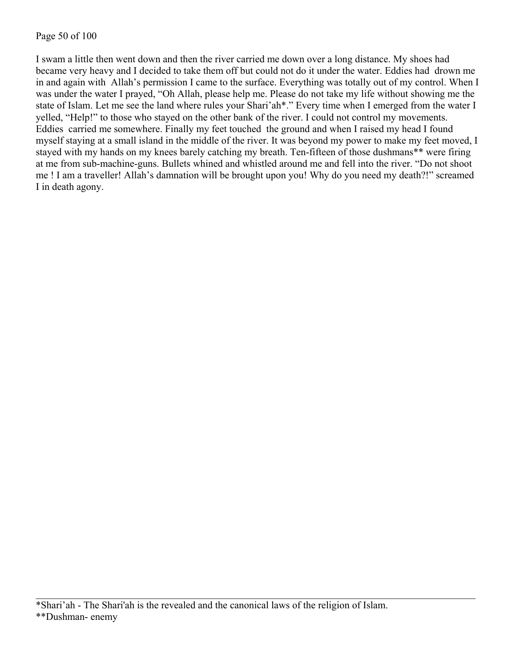# Page 50 of 100

I swam a little then went down and then the river carried me down over a long distance. My shoes had became very heavy and I decided to take them off but could not do it under the water. Eddies had drown me in and again with Allah's permission I came to the surface. Everything was totally out of my control. When I was under the water I prayed, "Oh Allah, please help me. Please do not take my life without showing me the state of Islam. Let me see the land where rules your Shari'ah\*." Every time when I emerged from the water I yelled, "Help!" to those who stayed on the other bank of the river. I could not control my movements. Eddies carried me somewhere. Finally my feet touched the ground and when I raised my head I found myself staying at a small island in the middle of the river. It was beyond my power to make my feet moved, I stayed with my hands on my knees barely catching my breath. Ten-fifteen of those dushmans\*\* were firing at me from sub-machine-guns. Bullets whined and whistled around me and fell into the river. "Do not shoot me ! I am a traveller! Allah's damnation will be brought upon you! Why do you need my death?!" screamed I in death agony.

 $\_$  , and the contribution of the contribution of the contribution of the contribution of  $\mathcal{L}_\text{max}$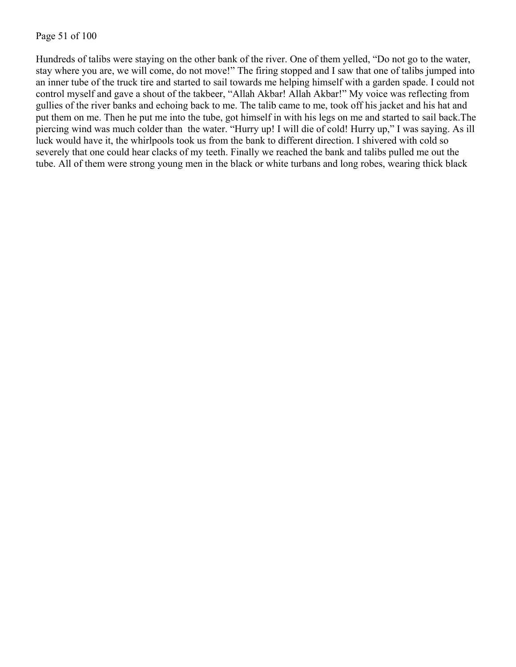Hundreds of talibs were staying on the other bank of the river. One of them yelled, "Do not go to the water, stay where you are, we will come, do not move!" The firing stopped and I saw that one of talibs jumped into an inner tube of the truck tire and started to sail towards me helping himself with a garden spade. I could not control myself and gave a shout of the takbeer, "Allah Akbar! Allah Akbar!" My voice was reflecting from gullies of the river banks and echoing back to me. The talib came to me, took off his jacket and his hat and put them on me. Then he put me into the tube, got himself in with his legs on me and started to sail back.The piercing wind was much colder than the water. "Hurry up! I will die of cold! Hurry up," I was saying. As ill luck would have it, the whirlpools took us from the bank to different direction. I shivered with cold so severely that one could hear clacks of my teeth. Finally we reached the bank and talibs pulled me out the tube. All of them were strong young men in the black or white turbans and long robes, wearing thick black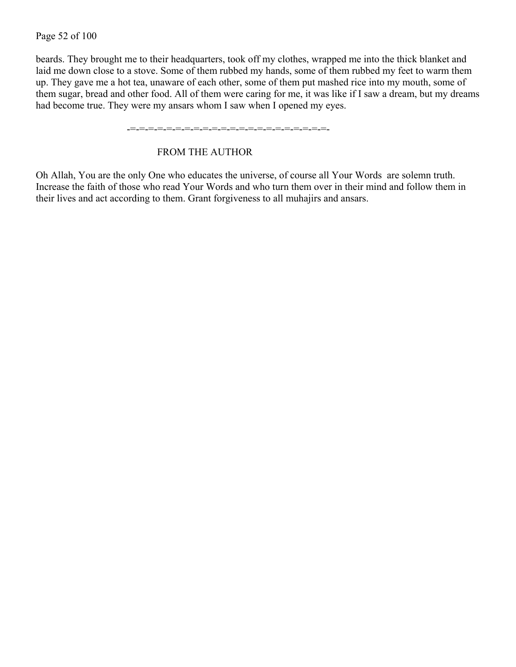Page 52 of 100

beards. They brought me to their headquarters, took off my clothes, wrapped me into the thick blanket and laid me down close to a stove. Some of them rubbed my hands, some of them rubbed my feet to warm them up. They gave me a hot tea, unaware of each other, some of them put mashed rice into my mouth, some of them sugar, bread and other food. All of them were caring for me, it was like if I saw a dream, but my dreams had become true. They were my ansars whom I saw when I opened my eyes.

-=-=-=-=-=-=-=-=-=-=-=-=-=-=-=-=-=-=-=-=-=-=-

# FROM THE AUTHOR

Oh Allah, You are the only One who educates the universe, of course all Your Words are solemn truth. Increase the faith of those who read Your Words and who turn them over in their mind and follow them in their lives and act according to them. Grant forgiveness to all muhajirs and ansars.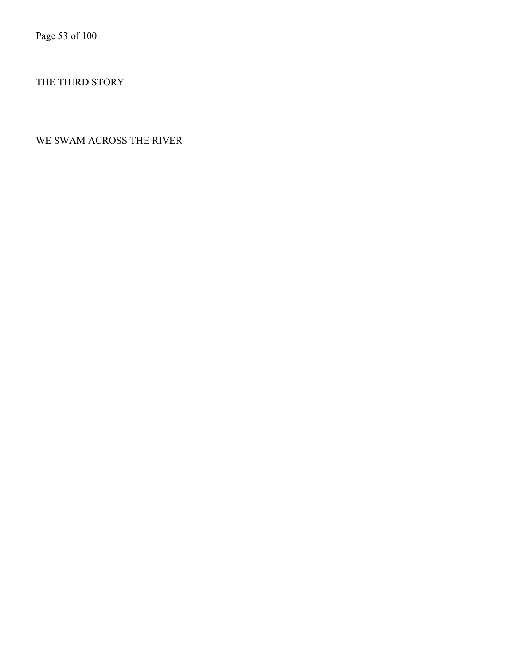Page 53 of 100

THE THIRD STORY

WE SWAM ACROSS THE RIVER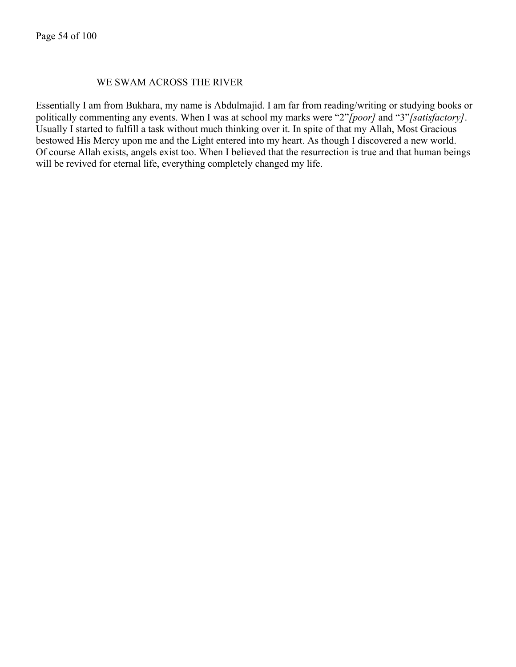### WE SWAM ACROSS THE RIVER

Essentially I am from Bukhara, my name is Abdulmajid. I am far from reading/writing or studying books or politically commenting any events. When I was at school my marks were "2"*[poor]* and "3"*[satisfactory]*. Usually I started to fulfill a task without much thinking over it. In spite of that my Allah, Most Gracious bestowed His Mercy upon me and the Light entered into my heart. As though I discovered a new world. Of course Allah exists, angels exist too. When I believed that the resurrection is true and that human beings will be revived for eternal life, everything completely changed my life.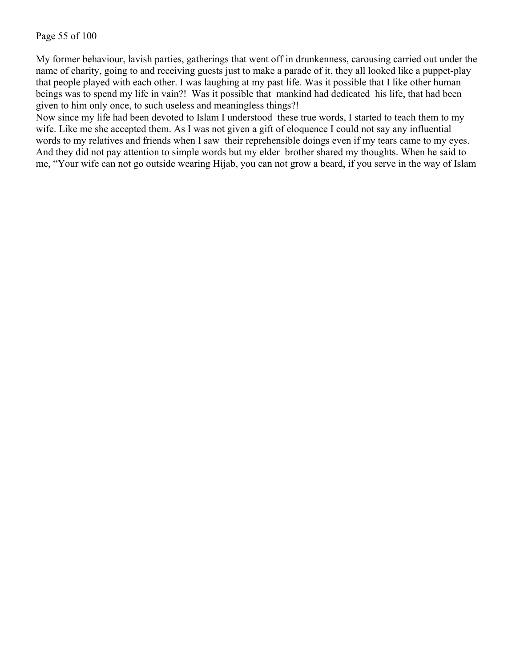My former behaviour, lavish parties, gatherings that went off in drunkenness, carousing carried out under the name of charity, going to and receiving guests just to make a parade of it, they all looked like a puppet-play that people played with each other. I was laughing at my past life. Was it possible that I like other human beings was to spend my life in vain?! Was it possible that mankind had dedicated his life, that had been given to him only once, to such useless and meaningless things?!

Now since my life had been devoted to Islam I understood these true words, I started to teach them to my wife. Like me she accepted them. As I was not given a gift of eloquence I could not say any influential words to my relatives and friends when I saw their reprehensible doings even if my tears came to my eyes. And they did not pay attention to simple words but my elder brother shared my thoughts. When he said to me, "Your wife can not go outside wearing Hijab, you can not grow a beard, if you serve in the way of Islam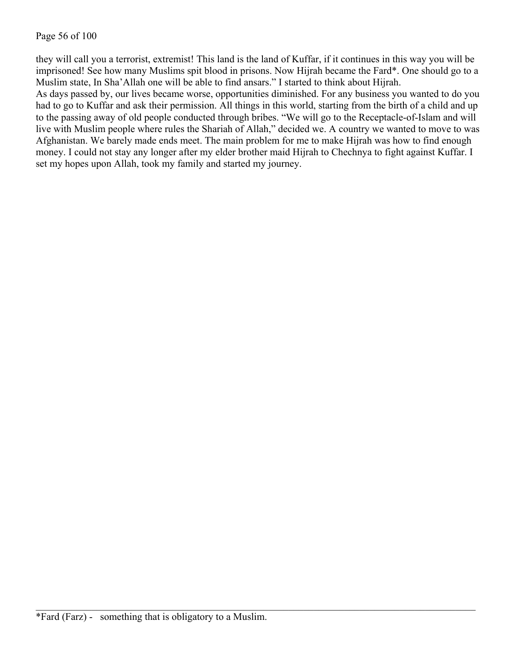they will call you a terrorist, extremist! This land is the land of Kuffar, if it continues in this way you will be imprisoned! See how many Muslims spit blood in prisons. Now Hijrah became the Fard\*. One should go to a Muslim state, In Sha'Allah one will be able to find ansars." I started to think about Hijrah.

As days passed by, our lives became worse, opportunities diminished. For any business you wanted to do you had to go to Kuffar and ask their permission. All things in this world, starting from the birth of a child and up to the passing away of old people conducted through bribes. "We will go to the Receptacle-of-Islam and will live with Muslim people where rules the Shariah of Allah," decided we. A country we wanted to move to was Afghanistan. We barely made ends meet. The main problem for me to make Hijrah was how to find enough money. I could not stay any longer after my elder brother maid Hijrah to Chechnya to fight against Kuffar. I set my hopes upon Allah, took my family and started my journey.

 $\_$  , and the contribution of the contribution of the contribution of the contribution of  $\mathcal{L}_\text{max}$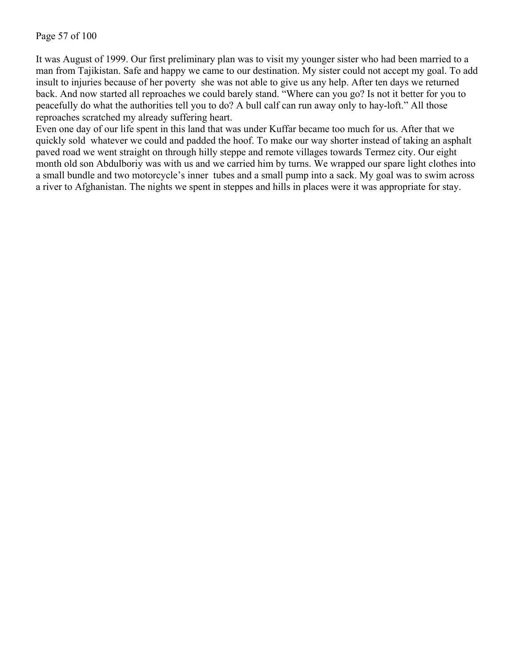It was August of 1999. Our first preliminary plan was to visit my younger sister who had been married to a man from Tajikistan. Safe and happy we came to our destination. My sister could not accept my goal. To add insult to injuries because of her poverty she was not able to give us any help. After ten days we returned back. And now started all reproaches we could barely stand. "Where can you go? Is not it better for you to peacefully do what the authorities tell you to do? A bull calf can run away only to hay-loft." All those reproaches scratched my already suffering heart.

Even one day of our life spent in this land that was under Kuffar became too much for us. After that we quickly sold whatever we could and padded the hoof. To make our way shorter instead of taking an asphalt paved road we went straight on through hilly steppe and remote villages towards Termez city. Our eight month old son Abdulboriy was with us and we carried him by turns. We wrapped our spare light clothes into a small bundle and two motorcycle's inner tubes and a small pump into a sack. My goal was to swim across a river to Afghanistan. The nights we spent in steppes and hills in places were it was appropriate for stay.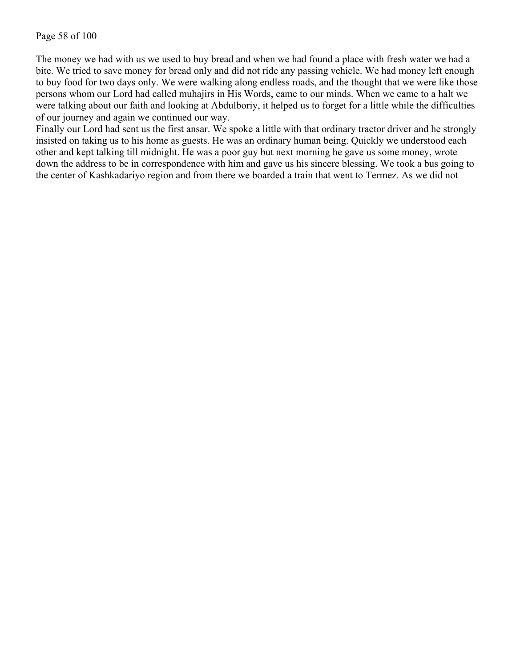The money we had with us we used to buy bread and when we had found a place with fresh water we had a bite. We tried to save money for bread only and did not ride any passing vehicle. We had money left enough to buy food for two days only. We were walking along endless roads, and the thought that we were like those persons whom our Lord had called muhajirs in His Words, came to our minds. When we came to a halt we were talking about our faith and looking at Abdulboriy, it helped us to forget for a little while the difficulties of our journey and again we continued our way.

Finally our Lord had sent us the first ansar. We spoke a little with that ordinary tractor driver and he strongly insisted on taking us to his home as guests. He was an ordinary human being. Quickly we understood each other and kept talking till midnight. He was a poor guy but next morning he gave us some money, wrote down the address to be in correspondence with him and gave us his sincere blessing. We took a bus going to the center of Kashkadariyo region and from there we boarded a train that went to Termez. As we did not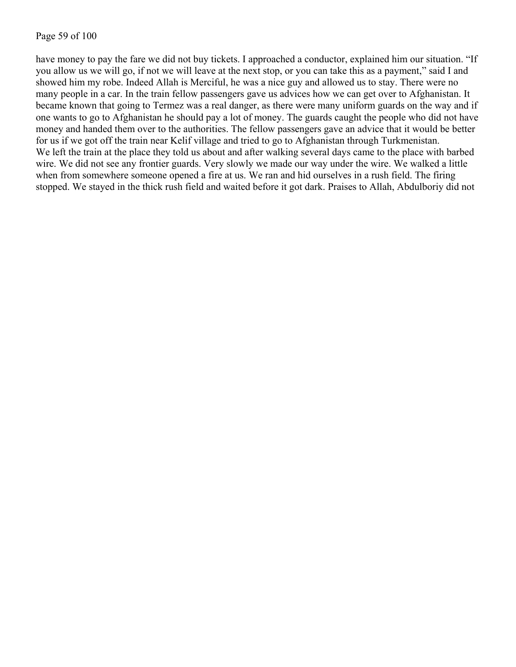have money to pay the fare we did not buy tickets. I approached a conductor, explained him our situation. "If you allow us we will go, if not we will leave at the next stop, or you can take this as a payment," said I and showed him my robe. Indeed Allah is Merciful, he was a nice guy and allowed us to stay. There were no many people in a car. In the train fellow passengers gave us advices how we can get over to Afghanistan. It became known that going to Termez was a real danger, as there were many uniform guards on the way and if one wants to go to Afghanistan he should pay a lot of money. The guards caught the people who did not have money and handed them over to the authorities. The fellow passengers gave an advice that it would be better for us if we got off the train near Kelif village and tried to go to Afghanistan through Turkmenistan. We left the train at the place they told us about and after walking several days came to the place with barbed wire. We did not see any frontier guards. Very slowly we made our way under the wire. We walked a little when from somewhere someone opened a fire at us. We ran and hid ourselves in a rush field. The firing stopped. We stayed in the thick rush field and waited before it got dark. Praises to Allah, Abdulboriy did not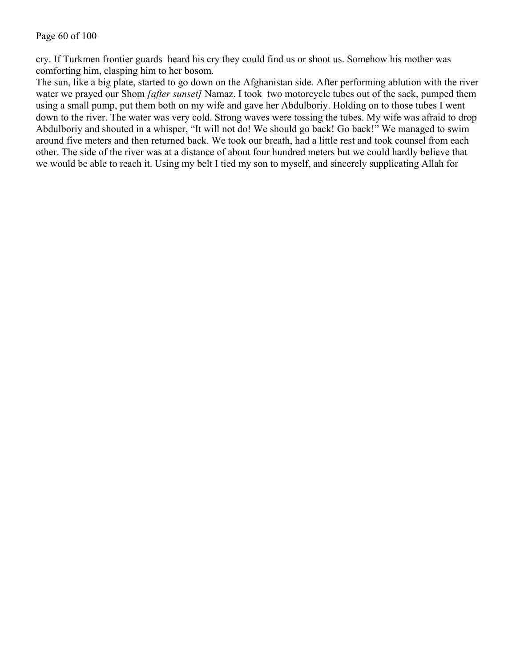cry. If Turkmen frontier guards heard his cry they could find us or shoot us. Somehow his mother was comforting him, clasping him to her bosom.

The sun, like a big plate, started to go down on the Afghanistan side. After performing ablution with the river water we prayed our Shom *[after sunset]* Namaz. I took two motorcycle tubes out of the sack, pumped them using a small pump, put them both on my wife and gave her Abdulboriy. Holding on to those tubes I went down to the river. The water was very cold. Strong waves were tossing the tubes. My wife was afraid to drop Abdulboriy and shouted in a whisper, "It will not do! We should go back! Go back!" We managed to swim around five meters and then returned back. We took our breath, had a little rest and took counsel from each other. The side of the river was at a distance of about four hundred meters but we could hardly believe that we would be able to reach it. Using my belt I tied my son to myself, and sincerely supplicating Allah for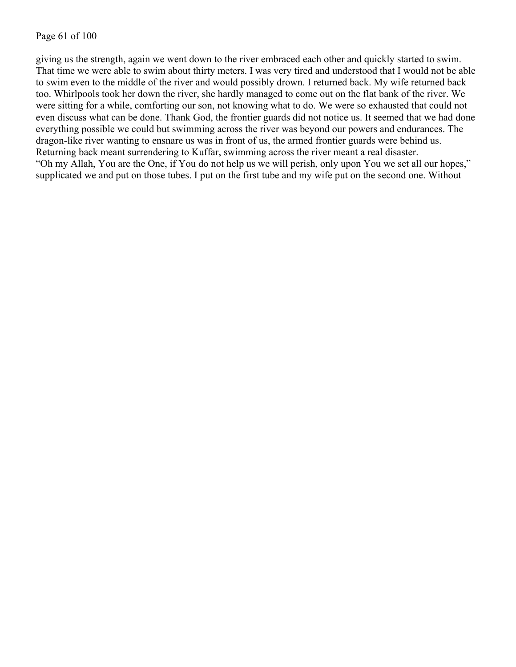giving us the strength, again we went down to the river embraced each other and quickly started to swim. That time we were able to swim about thirty meters. I was very tired and understood that I would not be able to swim even to the middle of the river and would possibly drown. I returned back. My wife returned back too. Whirlpools took her down the river, she hardly managed to come out on the flat bank of the river. We were sitting for a while, comforting our son, not knowing what to do. We were so exhausted that could not even discuss what can be done. Thank God, the frontier guards did not notice us. It seemed that we had done everything possible we could but swimming across the river was beyond our powers and endurances. The dragon-like river wanting to ensnare us was in front of us, the armed frontier guards were behind us. Returning back meant surrendering to Kuffar, swimming across the river meant a real disaster. "Oh my Allah, You are the One, if You do not help us we will perish, only upon You we set all our hopes," supplicated we and put on those tubes. I put on the first tube and my wife put on the second one. Without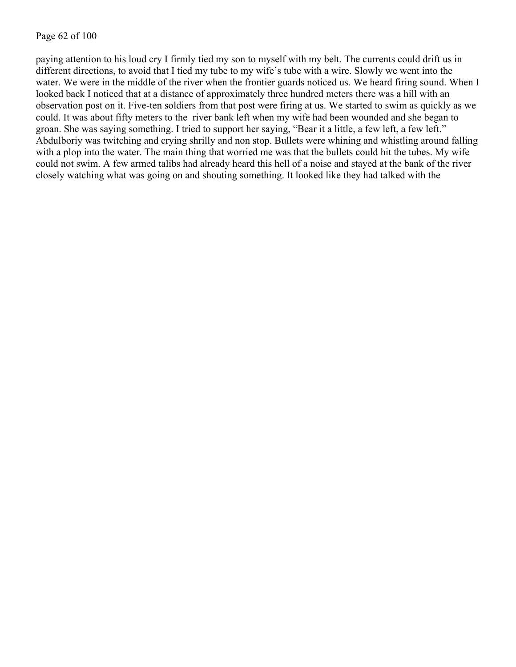paying attention to his loud cry I firmly tied my son to myself with my belt. The currents could drift us in different directions, to avoid that I tied my tube to my wife's tube with a wire. Slowly we went into the water. We were in the middle of the river when the frontier guards noticed us. We heard firing sound. When I looked back I noticed that at a distance of approximately three hundred meters there was a hill with an observation post on it. Five-ten soldiers from that post were firing at us. We started to swim as quickly as we could. It was about fifty meters to the river bank left when my wife had been wounded and she began to groan. She was saying something. I tried to support her saying, "Bear it a little, a few left, a few left." Abdulboriy was twitching and crying shrilly and non stop. Bullets were whining and whistling around falling with a plop into the water. The main thing that worried me was that the bullets could hit the tubes. My wife could not swim. A few armed talibs had already heard this hell of a noise and stayed at the bank of the river closely watching what was going on and shouting something. It looked like they had talked with the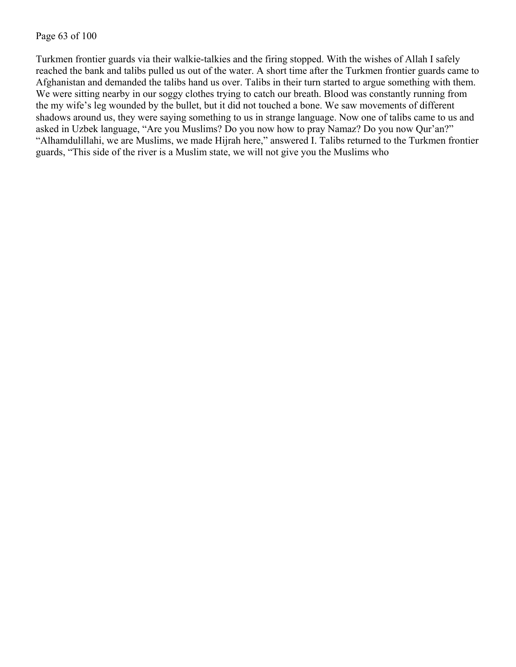Turkmen frontier guards via their walkie-talkies and the firing stopped. With the wishes of Allah I safely reached the bank and talibs pulled us out of the water. A short time after the Turkmen frontier guards came to Afghanistan and demanded the talibs hand us over. Talibs in their turn started to argue something with them. We were sitting nearby in our soggy clothes trying to catch our breath. Blood was constantly running from the my wife's leg wounded by the bullet, but it did not touched a bone. We saw movements of different shadows around us, they were saying something to us in strange language. Now one of talibs came to us and asked in Uzbek language, "Are you Muslims? Do you now how to pray Namaz? Do you now Qur'an?" "Alhamdulillahi, we are Muslims, we made Hijrah here," answered I. Talibs returned to the Turkmen frontier guards, "This side of the river is a Muslim state, we will not give you the Muslims who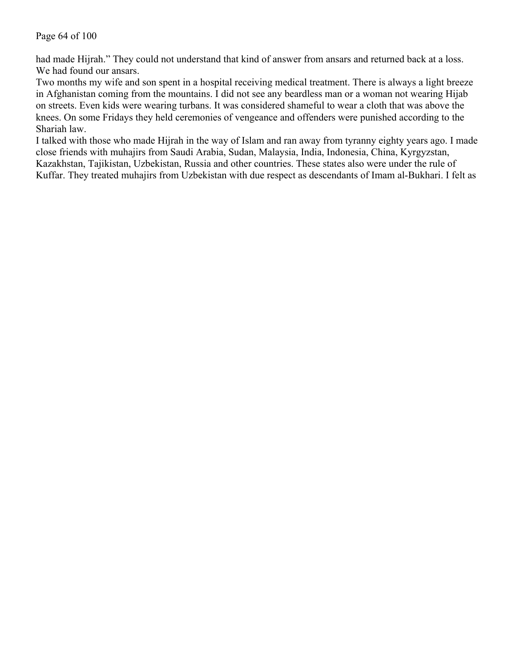had made Hijrah." They could not understand that kind of answer from ansars and returned back at a loss. We had found our ansars.

Two months my wife and son spent in a hospital receiving medical treatment. There is always a light breeze in Afghanistan coming from the mountains. I did not see any beardless man or a woman not wearing Hijab on streets. Even kids were wearing turbans. It was considered shameful to wear a cloth that was above the knees. On some Fridays they held ceremonies of vengeance and offenders were punished according to the Shariah law.

I talked with those who made Hijrah in the way of Islam and ran away from tyranny eighty years ago. I made close friends with muhajirs from Saudi Arabia, Sudan, Malaysia, India, Indonesia, China, Kyrgyzstan, Kazakhstan, Tajikistan, Uzbekistan, Russia and other countries. These states also were under the rule of Kuffar. They treated muhajirs from Uzbekistan with due respect as descendants of Imam al-Bukhari. I felt as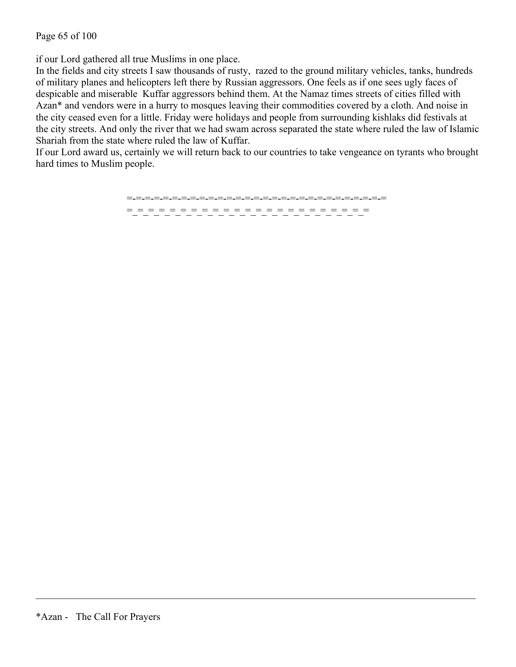Page 65 of 100

if our Lord gathered all true Muslims in one place.

In the fields and city streets I saw thousands of rusty, razed to the ground military vehicles, tanks, hundreds of military planes and helicopters left there by Russian aggressors. One feels as if one sees ugly faces of despicable and miserable Kuffar aggressors behind them. At the Namaz times streets of cities filled with Azan\* and vendors were in a hurry to mosques leaving their commodities covered by a cloth. And noise in the city ceased even for a little. Friday were holidays and people from surrounding kishlaks did festivals at the city streets. And only the river that we had swam across separated the state where ruled the law of Islamic Shariah from the state where ruled the law of Kuffar.

If our Lord award us, certainly we will return back to our countries to take vengeance on tyrants who brought hard times to Muslim people.

> =-=-=-=-=-=-=-=-=-=-=-=-=-=-=-=-=-=-=-=-=-=-=-=-=-=-=-=-= =\_=\_=\_=\_=\_=\_=\_=\_=\_=\_=\_=\_=\_=\_=\_=\_=\_=\_=\_=\_=\_=\_=

 $\_$  , and the contribution of the contribution of the contribution of the contribution of  $\mathcal{L}_\text{max}$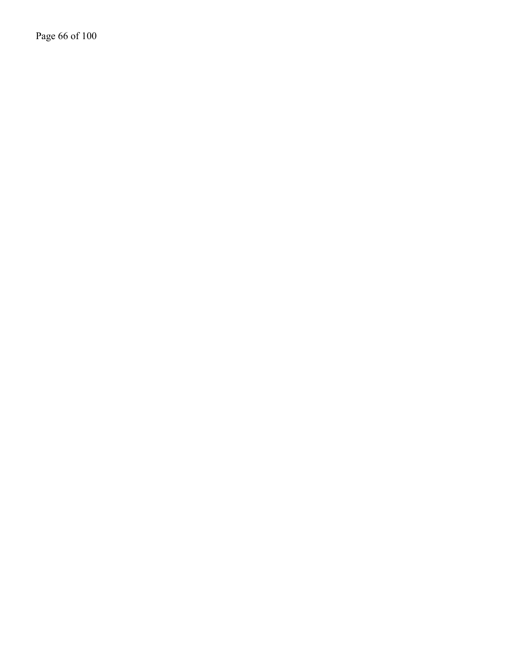Page 66 of 100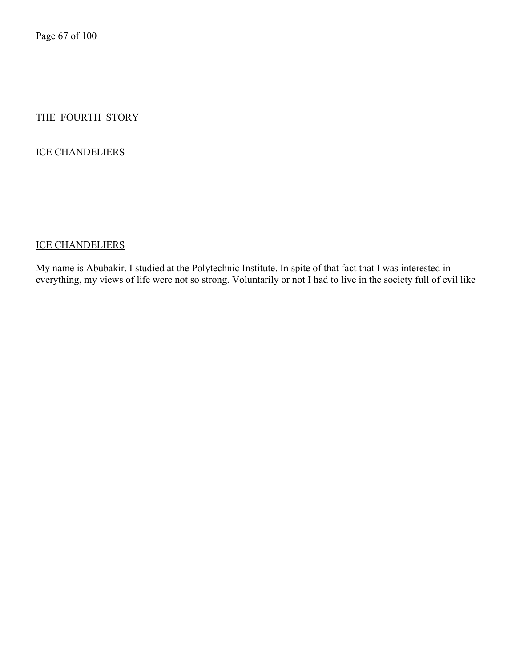Page 67 of 100

THE FOURTH STORY

ICE CHANDELIERS

ICE CHANDELIERS

My name is Abubakir. I studied at the Polytechnic Institute. In spite of that fact that I was interested in everything, my views of life were not so strong. Voluntarily or not I had to live in the society full of evil like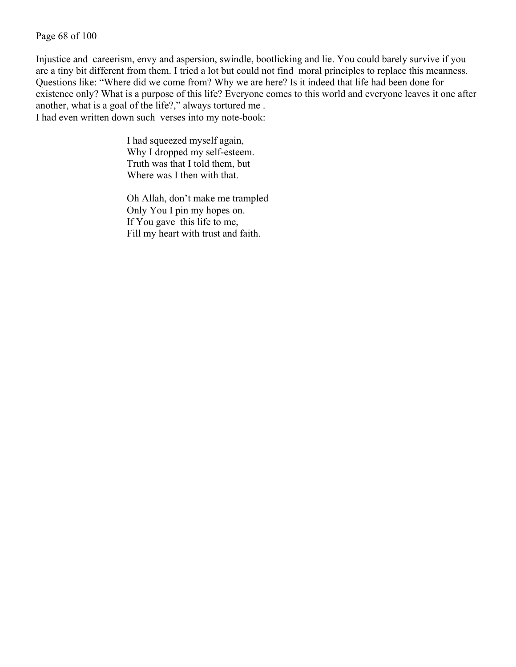#### Page 68 of 100

Injustice and careerism, envy and aspersion, swindle, bootlicking and lie. You could barely survive if you are a tiny bit different from them. I tried a lot but could not find moral principles to replace this meanness. Questions like: "Where did we come from? Why we are here? Is it indeed that life had been done for existence only? What is a purpose of this life? Everyone comes to this world and everyone leaves it one after another, what is a goal of the life?," always tortured me . I had even written down such verses into my note-book:

> I had squeezed myself again, Why I dropped my self-esteem. Truth was that I told them, but Where was I then with that.

 Oh Allah, don't make me trampled Only You I pin my hopes on. If You gave this life to me, Fill my heart with trust and faith.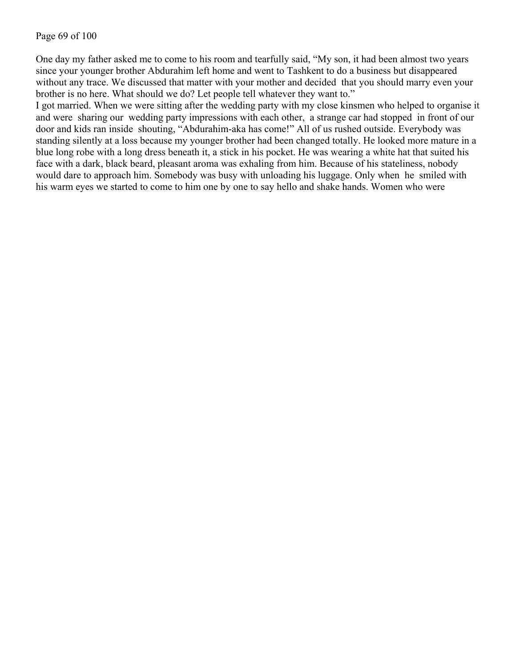One day my father asked me to come to his room and tearfully said, "My son, it had been almost two years since your younger brother Abdurahim left home and went to Tashkent to do a business but disappeared without any trace. We discussed that matter with your mother and decided that you should marry even your brother is no here. What should we do? Let people tell whatever they want to."

I got married. When we were sitting after the wedding party with my close kinsmen who helped to organise it and were sharing our wedding party impressions with each other, a strange car had stopped in front of our door and kids ran inside shouting, "Abdurahim-aka has come!" All of us rushed outside. Everybody was standing silently at a loss because my younger brother had been changed totally. He looked more mature in a blue long robe with a long dress beneath it, a stick in his pocket. He was wearing a white hat that suited his face with a dark, black beard, pleasant aroma was exhaling from him. Because of his stateliness, nobody would dare to approach him. Somebody was busy with unloading his luggage. Only when he smiled with his warm eyes we started to come to him one by one to say hello and shake hands. Women who were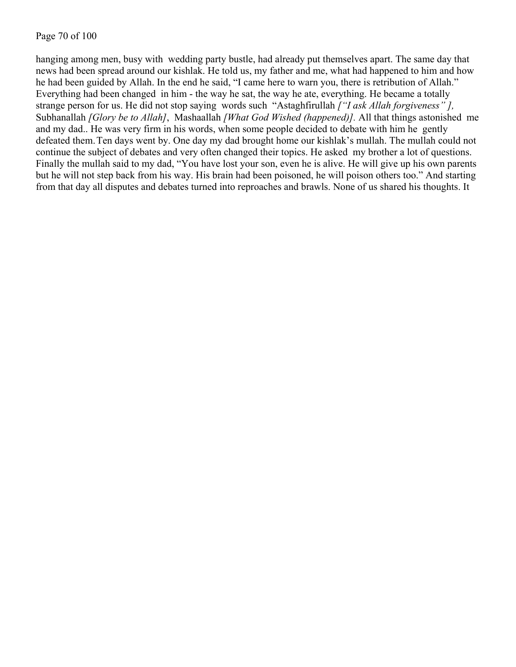hanging among men, busy with wedding party bustle, had already put themselves apart. The same day that news had been spread around our kishlak. He told us, my father and me, what had happened to him and how he had been guided by Allah. In the end he said, "I came here to warn you, there is retribution of Allah." Everything had been changed in him - the way he sat, the way he ate, everything. He became a totally strange person for us. He did not stop saying words such "Astaghfirullah *["I ask Allah forgiveness" ],* Subhanallah *[Glory be to Allah]*, Mashaallah *[What God Wished (happened)].* All that things astonished me and my dad.. He was very firm in his words, when some people decided to debate with him he gently defeated them. Ten days went by. One day my dad brought home our kishlak's mullah. The mullah could not continue the subject of debates and very often changed their topics. He asked my brother a lot of questions. Finally the mullah said to my dad, "You have lost your son, even he is alive. He will give up his own parents but he will not step back from his way. His brain had been poisoned, he will poison others too." And starting from that day all disputes and debates turned into reproaches and brawls. None of us shared his thoughts. It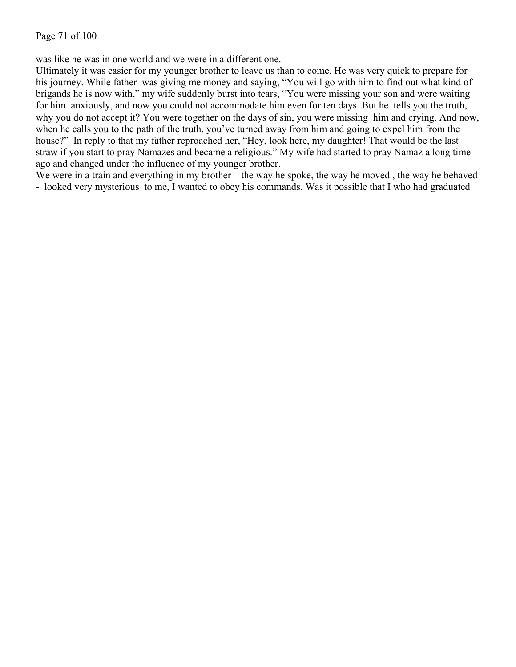Page 71 of 100

was like he was in one world and we were in a different one.

Ultimately it was easier for my younger brother to leave us than to come. He was very quick to prepare for his journey. While father was giving me money and saying, "You will go with him to find out what kind of brigands he is now with," my wife suddenly burst into tears, "You were missing your son and were waiting for him anxiously, and now you could not accommodate him even for ten days. But he tells you the truth, why you do not accept it? You were together on the days of sin, you were missing him and crying. And now, when he calls you to the path of the truth, you've turned away from him and going to expel him from the house?" In reply to that my father reproached her, "Hey, look here, my daughter! That would be the last straw if you start to pray Namazes and became a religious." My wife had started to pray Namaz a long time ago and changed under the influence of my younger brother.

We were in a train and everything in my brother – the way he spoke, the way he moved, the way he behaved - looked very mysterious to me, I wanted to obey his commands. Was it possible that I who had graduated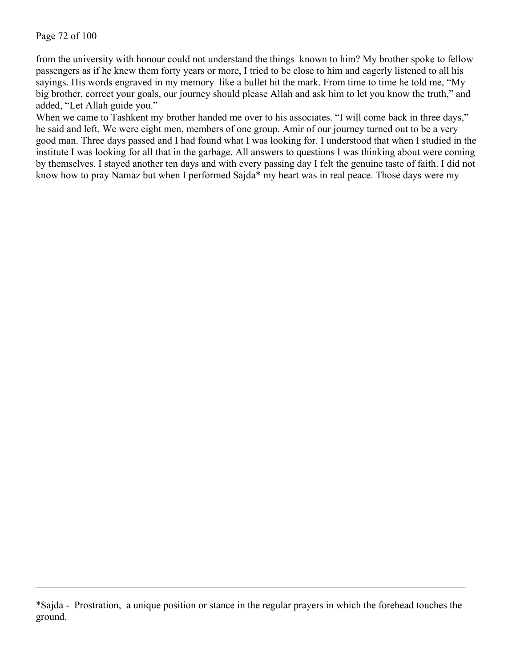## Page 72 of 100

from the university with honour could not understand the things known to him? My brother spoke to fellow passengers as if he knew them forty years or more, I tried to be close to him and eagerly listened to all his sayings. His words engraved in my memory like a bullet hit the mark. From time to time he told me, "My big brother, correct your goals, our journey should please Allah and ask him to let you know the truth," and added, "Let Allah guide you."

When we came to Tashkent my brother handed me over to his associates. "I will come back in three days," he said and left. We were eight men, members of one group. Amir of our journey turned out to be a very good man. Three days passed and I had found what I was looking for. I understood that when I studied in the institute I was looking for all that in the garbage. All answers to questions I was thinking about were coming by themselves. I stayed another ten days and with every passing day I felt the genuine taste of faith. I did not know how to pray Namaz but when I performed Sajda\* my heart was in real peace. Those days were my

 $\_$  , and the contribution of the contribution of the contribution of the contribution of  $\mathcal{L}_\text{max}$ 

<sup>\*</sup>Sajda - Prostration, a unique position or stance in the regular prayers in which the forehead touches the ground.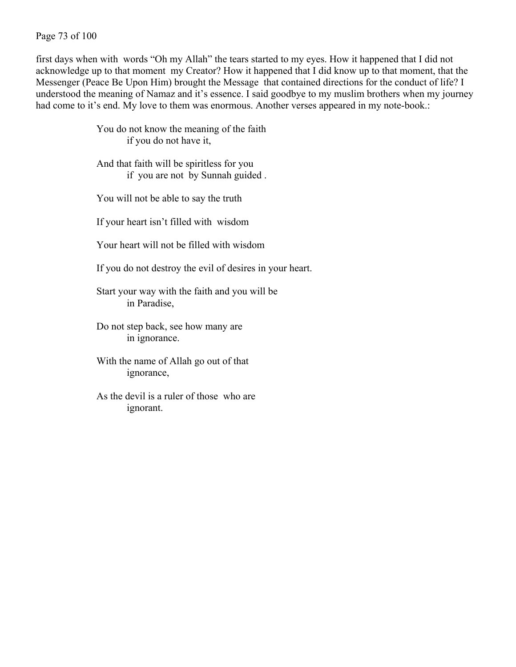## Page 73 of 100

first days when with words "Oh my Allah" the tears started to my eyes. How it happened that I did not acknowledge up to that moment my Creator? How it happened that I did know up to that moment, that the Messenger (Peace Be Upon Him) brought the Message that contained directions for the conduct of life? I understood the meaning of Namaz and it's essence. I said goodbye to my muslim brothers when my journey had come to it's end. My love to them was enormous. Another verses appeared in my note-book.:

> You do not know the meaning of the faith if you do not have it,

> And that faith will be spiritless for you if you are not by Sunnah guided .

You will not be able to say the truth

If your heart isn't filled with wisdom

Your heart will not be filled with wisdom

If you do not destroy the evil of desires in your heart.

 Start your way with the faith and you will be in Paradise,

 Do not step back, see how many are in ignorance.

 With the name of Allah go out of that ignorance,

 As the devil is a ruler of those who are ignorant.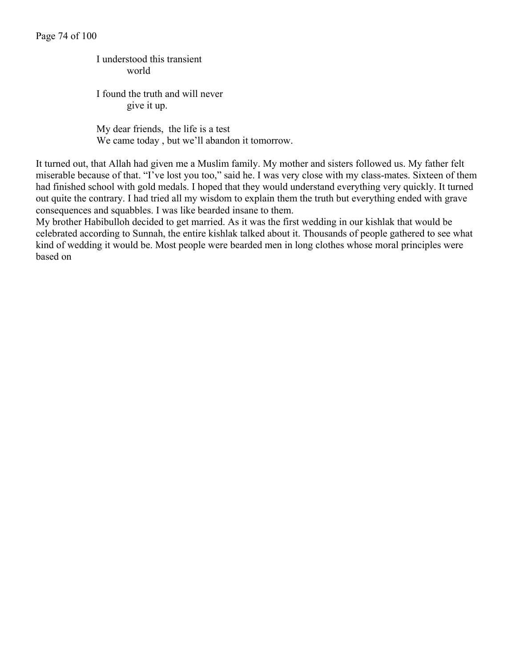Page 74 of 100

 I understood this transient world

 I found the truth and will never give it up.

 My dear friends, the life is a test We came today , but we'll abandon it tomorrow.

It turned out, that Allah had given me a Muslim family. My mother and sisters followed us. My father felt miserable because of that. "I've lost you too," said he. I was very close with my class-mates. Sixteen of them had finished school with gold medals. I hoped that they would understand everything very quickly. It turned out quite the contrary. I had tried all my wisdom to explain them the truth but everything ended with grave consequences and squabbles. I was like bearded insane to them.

My brother Habibulloh decided to get married. As it was the first wedding in our kishlak that would be celebrated according to Sunnah, the entire kishlak talked about it. Thousands of people gathered to see what kind of wedding it would be. Most people were bearded men in long clothes whose moral principles were based on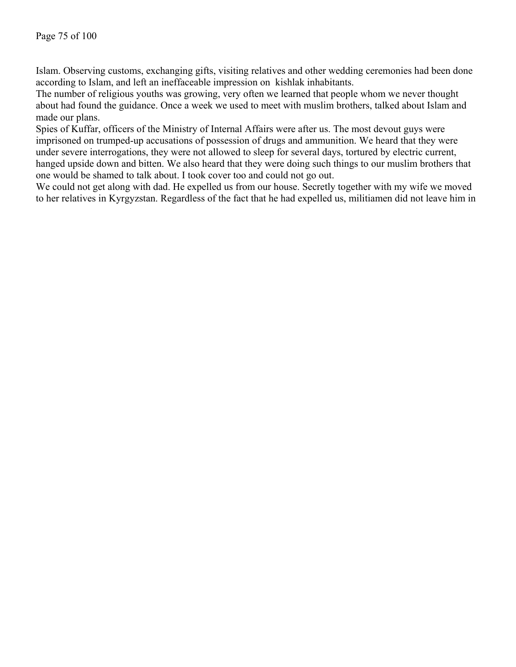Islam. Observing customs, exchanging gifts, visiting relatives and other wedding ceremonies had been done according to Islam, and left an ineffaceable impression on kishlak inhabitants.

The number of religious youths was growing, very often we learned that people whom we never thought about had found the guidance. Once a week we used to meet with muslim brothers, talked about Islam and made our plans.

Spies of Kuffar, officers of the Ministry of Internal Affairs were after us. The most devout guys were imprisoned on trumped-up accusations of possession of drugs and ammunition. We heard that they were under severe interrogations, they were not allowed to sleep for several days, tortured by electric current, hanged upside down and bitten. We also heard that they were doing such things to our muslim brothers that one would be shamed to talk about. I took cover too and could not go out.

We could not get along with dad. He expelled us from our house. Secretly together with my wife we moved to her relatives in Kyrgyzstan. Regardless of the fact that he had expelled us, militiamen did not leave him in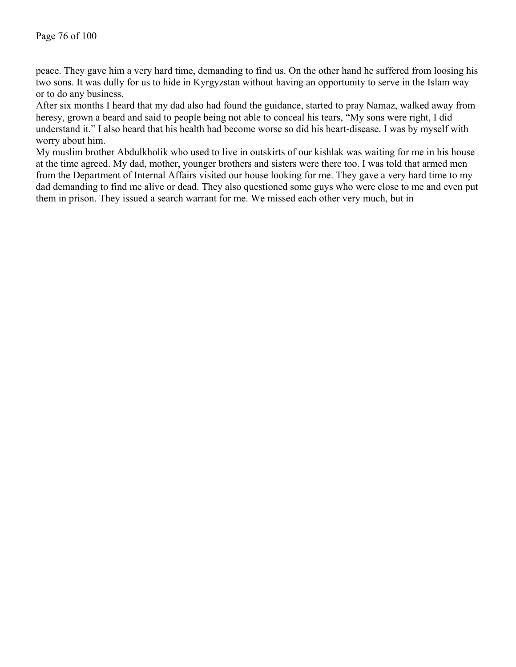peace. They gave him a very hard time, demanding to find us. On the other hand he suffered from loosing his two sons. It was dully for us to hide in Kyrgyzstan without having an opportunity to serve in the Islam way or to do any business.

After six months I heard that my dad also had found the guidance, started to pray Namaz, walked away from heresy, grown a beard and said to people being not able to conceal his tears, "My sons were right, I did understand it." I also heard that his health had become worse so did his heart-disease. I was by myself with worry about him.

My muslim brother Abdulkholik who used to live in outskirts of our kishlak was waiting for me in his house at the time agreed. My dad, mother, younger brothers and sisters were there too. I was told that armed men from the Department of Internal Affairs visited our house looking for me. They gave a very hard time to my dad demanding to find me alive or dead. They also questioned some guys who were close to me and even put them in prison. They issued a search warrant for me. We missed each other very much, but in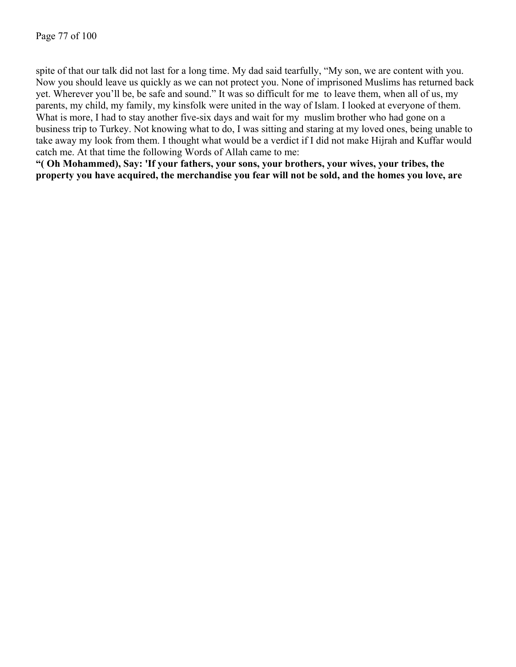spite of that our talk did not last for a long time. My dad said tearfully, "My son, we are content with you. Now you should leave us quickly as we can not protect you. None of imprisoned Muslims has returned back yet. Wherever you'll be, be safe and sound." It was so difficult for me to leave them, when all of us, my parents, my child, my family, my kinsfolk were united in the way of Islam. I looked at everyone of them. What is more, I had to stay another five-six days and wait for my muslim brother who had gone on a business trip to Turkey. Not knowing what to do, I was sitting and staring at my loved ones, being unable to take away my look from them. I thought what would be a verdict if I did not make Hijrah and Kuffar would catch me. At that time the following Words of Allah came to me:

**"( Oh Mohammed), Say: 'If your fathers, your sons, your brothers, your wives, your tribes, the property you have acquired, the merchandise you fear will not be sold, and the homes you love, are**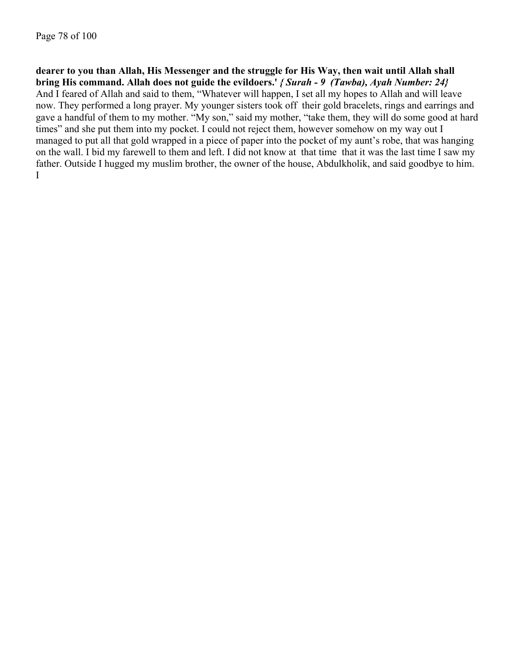**dearer to you than Allah, His Messenger and the struggle for His Way, then wait until Allah shall bring His command. Allah does not guide the evildoers.'** *{ Surah - 9 (Tawba), Ayah Number: 24}*  And I feared of Allah and said to them, "Whatever will happen, I set all my hopes to Allah and will leave now. They performed a long prayer. My younger sisters took off their gold bracelets, rings and earrings and gave a handful of them to my mother. "My son," said my mother, "take them, they will do some good at hard times" and she put them into my pocket. I could not reject them, however somehow on my way out I managed to put all that gold wrapped in a piece of paper into the pocket of my aunt's robe, that was hanging on the wall. I bid my farewell to them and left. I did not know at that time that it was the last time I saw my father. Outside I hugged my muslim brother, the owner of the house, Abdulkholik, and said goodbye to him. I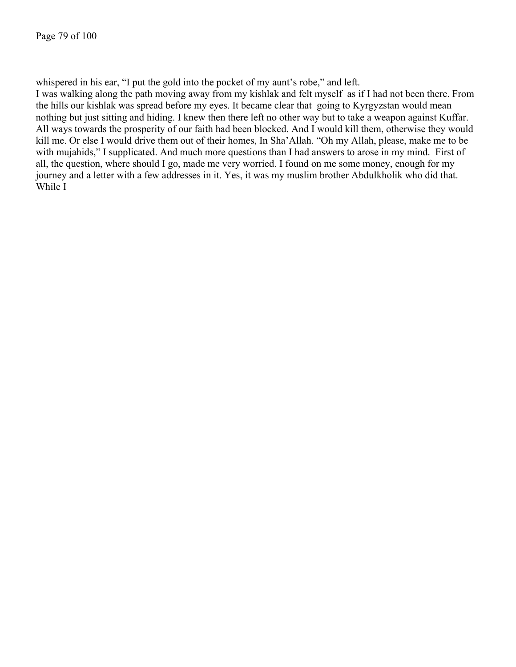whispered in his ear, "I put the gold into the pocket of my aunt's robe," and left.

I was walking along the path moving away from my kishlak and felt myself as if I had not been there. From the hills our kishlak was spread before my eyes. It became clear that going to Kyrgyzstan would mean nothing but just sitting and hiding. I knew then there left no other way but to take a weapon against Kuffar. All ways towards the prosperity of our faith had been blocked. And I would kill them, otherwise they would kill me. Or else I would drive them out of their homes, In Sha'Allah. "Oh my Allah, please, make me to be with mujahids," I supplicated. And much more questions than I had answers to arose in my mind. First of all, the question, where should I go, made me very worried. I found on me some money, enough for my journey and a letter with a few addresses in it. Yes, it was my muslim brother Abdulkholik who did that. While I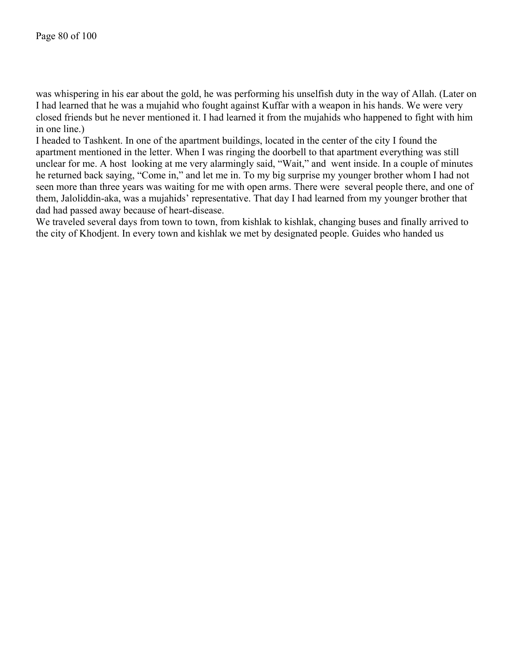was whispering in his ear about the gold, he was performing his unselfish duty in the way of Allah. (Later on I had learned that he was a mujahid who fought against Kuffar with a weapon in his hands. We were very closed friends but he never mentioned it. I had learned it from the mujahids who happened to fight with him in one line.)

I headed to Tashkent. In one of the apartment buildings, located in the center of the city I found the apartment mentioned in the letter. When I was ringing the doorbell to that apartment everything was still unclear for me. A host looking at me very alarmingly said, "Wait," and went inside. In a couple of minutes he returned back saying, "Come in," and let me in. To my big surprise my younger brother whom I had not seen more than three years was waiting for me with open arms. There were several people there, and one of them, Jaloliddin-aka, was a mujahids' representative. That day I had learned from my younger brother that dad had passed away because of heart-disease.

We traveled several days from town to town, from kishlak to kishlak, changing buses and finally arrived to the city of Khodjent. In every town and kishlak we met by designated people. Guides who handed us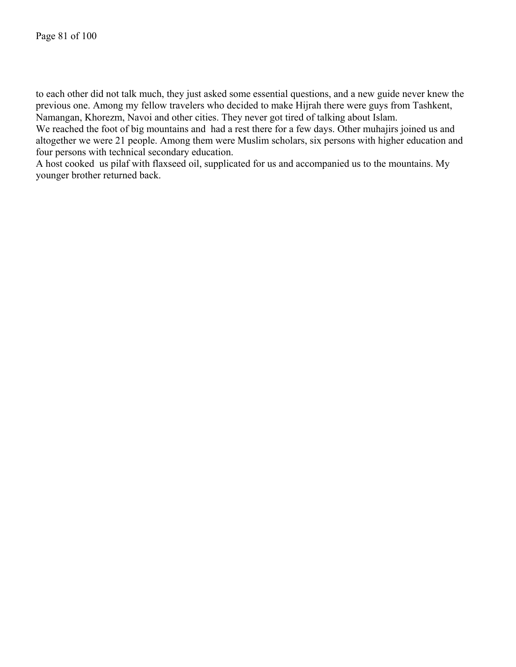to each other did not talk much, they just asked some essential questions, and a new guide never knew the previous one. Among my fellow travelers who decided to make Hijrah there were guys from Tashkent, Namangan, Khorezm, Navoi and other cities. They never got tired of talking about Islam.

We reached the foot of big mountains and had a rest there for a few days. Other muhajirs joined us and altogether we were 21 people. Among them were Muslim scholars, six persons with higher education and four persons with technical secondary education.

A host cooked us pilaf with flaxseed oil, supplicated for us and accompanied us to the mountains. My younger brother returned back.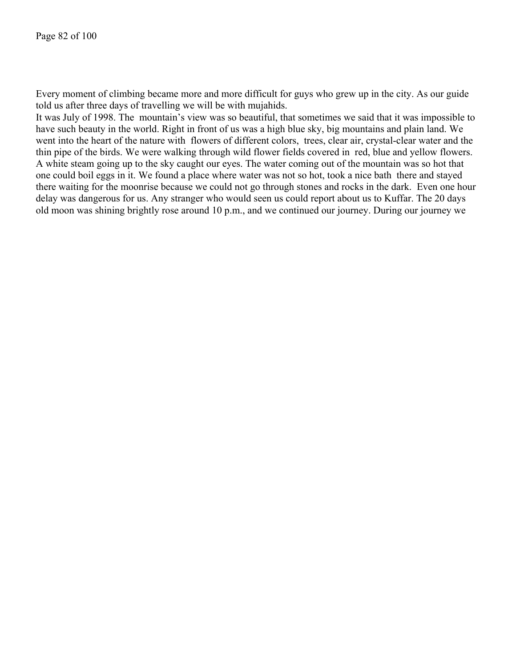Every moment of climbing became more and more difficult for guys who grew up in the city. As our guide told us after three days of travelling we will be with mujahids.

It was July of 1998. The mountain's view was so beautiful, that sometimes we said that it was impossible to have such beauty in the world. Right in front of us was a high blue sky, big mountains and plain land. We went into the heart of the nature with flowers of different colors, trees, clear air, crystal-clear water and the thin pipe of the birds. We were walking through wild flower fields covered in red, blue and yellow flowers. A white steam going up to the sky caught our eyes. The water coming out of the mountain was so hot that one could boil eggs in it. We found a place where water was not so hot, took a nice bath there and stayed there waiting for the moonrise because we could not go through stones and rocks in the dark. Even one hour delay was dangerous for us. Any stranger who would seen us could report about us to Kuffar. The 20 days old moon was shining brightly rose around 10 p.m., and we continued our journey. During our journey we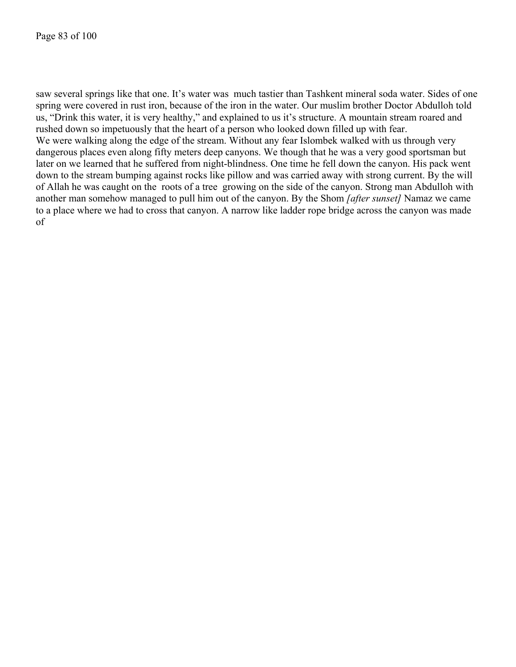saw several springs like that one. It's water was much tastier than Tashkent mineral soda water. Sides of one spring were covered in rust iron, because of the iron in the water. Our muslim brother Doctor Abdulloh told us, "Drink this water, it is very healthy," and explained to us it's structure. A mountain stream roared and rushed down so impetuously that the heart of a person who looked down filled up with fear. We were walking along the edge of the stream. Without any fear Islombek walked with us through very dangerous places even along fifty meters deep canyons. We though that he was a very good sportsman but later on we learned that he suffered from night-blindness. One time he fell down the canyon. His pack went down to the stream bumping against rocks like pillow and was carried away with strong current. By the will of Allah he was caught on the roots of a tree growing on the side of the canyon. Strong man Abdulloh with another man somehow managed to pull him out of the canyon. By the Shom *[after sunset]* Namaz we came to a place where we had to cross that canyon. A narrow like ladder rope bridge across the canyon was made of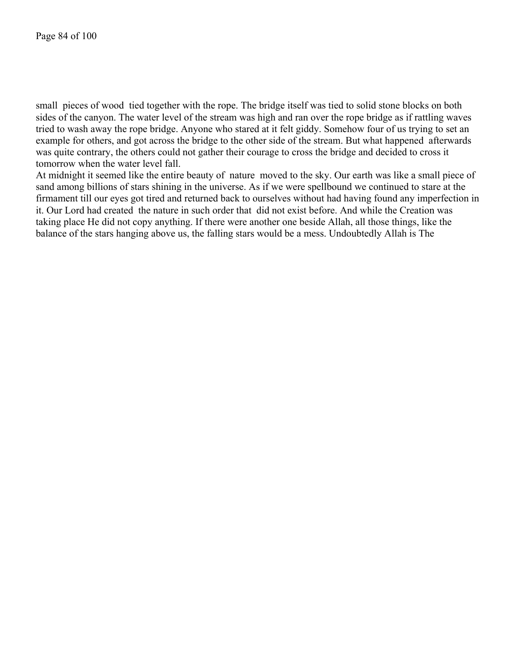small pieces of wood tied together with the rope. The bridge itself was tied to solid stone blocks on both sides of the canyon. The water level of the stream was high and ran over the rope bridge as if rattling waves tried to wash away the rope bridge. Anyone who stared at it felt giddy. Somehow four of us trying to set an example for others, and got across the bridge to the other side of the stream. But what happened afterwards was quite contrary, the others could not gather their courage to cross the bridge and decided to cross it tomorrow when the water level fall.

At midnight it seemed like the entire beauty of nature moved to the sky. Our earth was like a small piece of sand among billions of stars shining in the universe. As if we were spellbound we continued to stare at the firmament till our eyes got tired and returned back to ourselves without had having found any imperfection in it. Our Lord had created the nature in such order that did not exist before. And while the Creation was taking place He did not copy anything. If there were another one beside Allah, all those things, like the balance of the stars hanging above us, the falling stars would be a mess. Undoubtedly Allah is The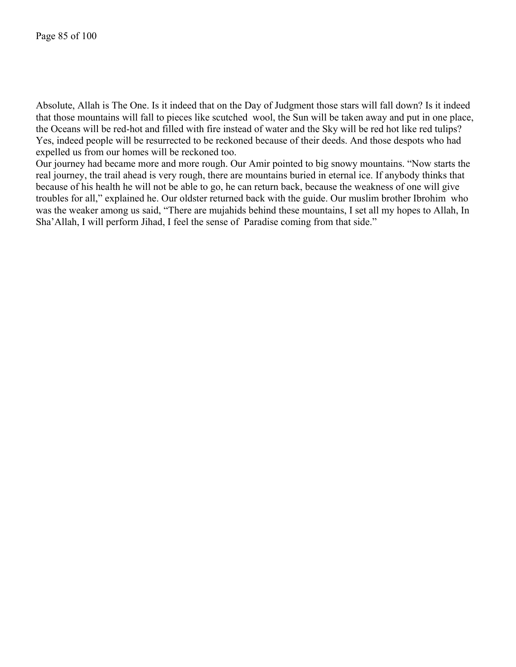Absolute, Allah is The One. Is it indeed that on the Day of Judgment those stars will fall down? Is it indeed that those mountains will fall to pieces like scutched wool, the Sun will be taken away and put in one place, the Oceans will be red-hot and filled with fire instead of water and the Sky will be red hot like red tulips? Yes, indeed people will be resurrected to be reckoned because of their deeds. And those despots who had expelled us from our homes will be reckoned too.

Our journey had became more and more rough. Our Amir pointed to big snowy mountains. "Now starts the real journey, the trail ahead is very rough, there are mountains buried in eternal ice. If anybody thinks that because of his health he will not be able to go, he can return back, because the weakness of one will give troubles for all," explained he. Our oldster returned back with the guide. Our muslim brother Ibrohim who was the weaker among us said, "There are mujahids behind these mountains, I set all my hopes to Allah, In Sha'Allah, I will perform Jihad, I feel the sense of Paradise coming from that side."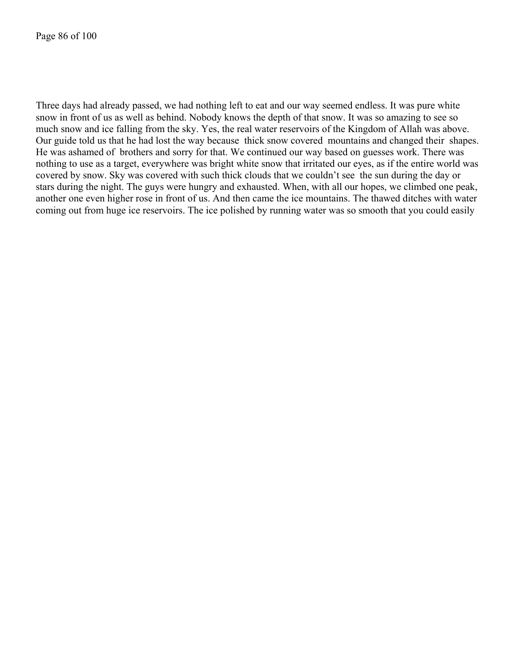Page 86 of 100

Three days had already passed, we had nothing left to eat and our way seemed endless. It was pure white snow in front of us as well as behind. Nobody knows the depth of that snow. It was so amazing to see so much snow and ice falling from the sky. Yes, the real water reservoirs of the Kingdom of Allah was above. Our guide told us that he had lost the way because thick snow covered mountains and changed their shapes. He was ashamed of brothers and sorry for that. We continued our way based on guesses work. There was nothing to use as a target, everywhere was bright white snow that irritated our eyes, as if the entire world was covered by snow. Sky was covered with such thick clouds that we couldn't see the sun during the day or stars during the night. The guys were hungry and exhausted. When, with all our hopes, we climbed one peak, another one even higher rose in front of us. And then came the ice mountains. The thawed ditches with water coming out from huge ice reservoirs. The ice polished by running water was so smooth that you could easily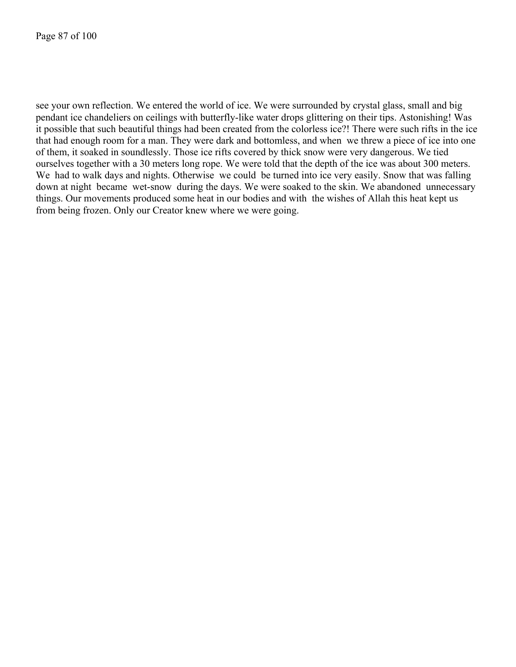Page 87 of 100

see your own reflection. We entered the world of ice. We were surrounded by crystal glass, small and big pendant ice chandeliers on ceilings with butterfly-like water drops glittering on their tips. Astonishing! Was it possible that such beautiful things had been created from the colorless ice?! There were such rifts in the ice that had enough room for a man. They were dark and bottomless, and when we threw a piece of ice into one of them, it soaked in soundlessly. Those ice rifts covered by thick snow were very dangerous. We tied ourselves together with a 30 meters long rope. We were told that the depth of the ice was about 300 meters. We had to walk days and nights. Otherwise we could be turned into ice very easily. Snow that was falling down at night became wet-snow during the days. We were soaked to the skin. We abandoned unnecessary things. Our movements produced some heat in our bodies and with the wishes of Allah this heat kept us from being frozen. Only our Creator knew where we were going.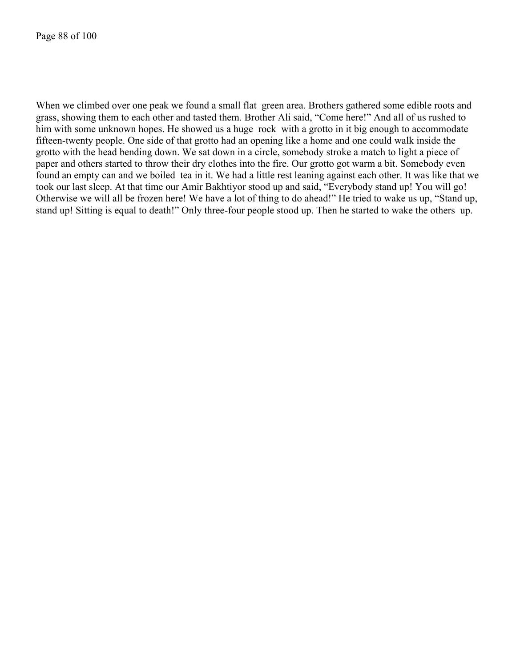Page 88 of 100

When we climbed over one peak we found a small flat green area. Brothers gathered some edible roots and grass, showing them to each other and tasted them. Brother Ali said, "Come here!" And all of us rushed to him with some unknown hopes. He showed us a huge rock with a grotto in it big enough to accommodate fifteen-twenty people. One side of that grotto had an opening like a home and one could walk inside the grotto with the head bending down. We sat down in a circle, somebody stroke a match to light a piece of paper and others started to throw their dry clothes into the fire. Our grotto got warm a bit. Somebody even found an empty can and we boiled tea in it. We had a little rest leaning against each other. It was like that we took our last sleep. At that time our Amir Bakhtiyor stood up and said, "Everybody stand up! You will go! Otherwise we will all be frozen here! We have a lot of thing to do ahead!" He tried to wake us up, "Stand up, stand up! Sitting is equal to death!" Only three-four people stood up. Then he started to wake the others up.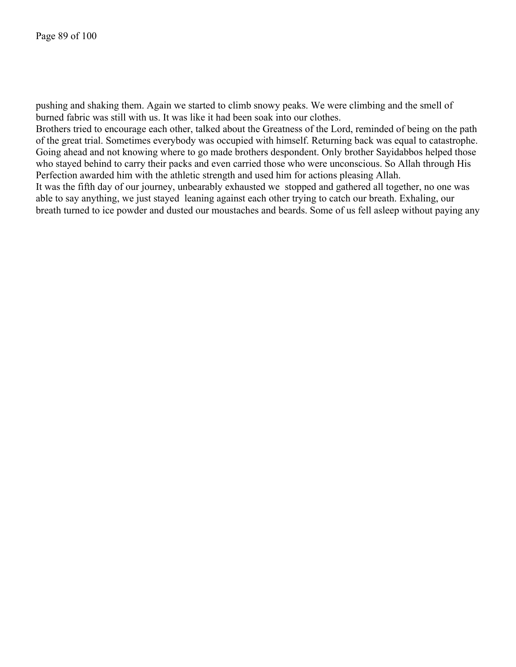pushing and shaking them. Again we started to climb snowy peaks. We were climbing and the smell of burned fabric was still with us. It was like it had been soak into our clothes.

Brothers tried to encourage each other, talked about the Greatness of the Lord, reminded of being on the path of the great trial. Sometimes everybody was occupied with himself. Returning back was equal to catastrophe. Going ahead and not knowing where to go made brothers despondent. Only brother Sayidabbos helped those who stayed behind to carry their packs and even carried those who were unconscious. So Allah through His Perfection awarded him with the athletic strength and used him for actions pleasing Allah.

It was the fifth day of our journey, unbearably exhausted we stopped and gathered all together, no one was able to say anything, we just stayed leaning against each other trying to catch our breath. Exhaling, our breath turned to ice powder and dusted our moustaches and beards. Some of us fell asleep without paying any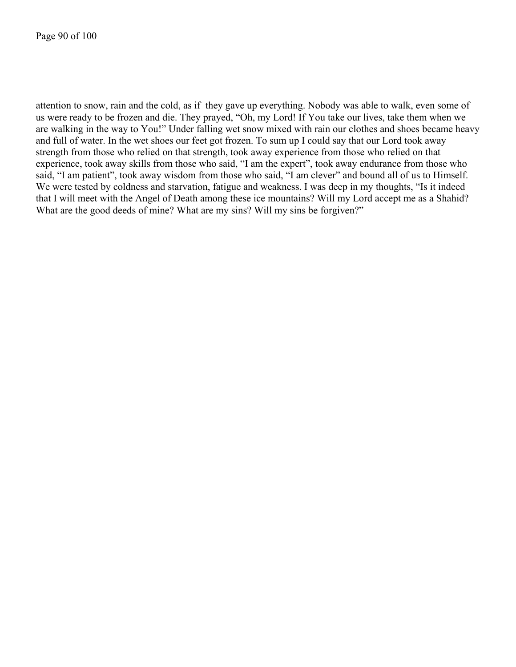Page 90 of 100

attention to snow, rain and the cold, as if they gave up everything. Nobody was able to walk, even some of us were ready to be frozen and die. They prayed, "Oh, my Lord! If You take our lives, take them when we are walking in the way to You!" Under falling wet snow mixed with rain our clothes and shoes became heavy and full of water. In the wet shoes our feet got frozen. To sum up I could say that our Lord took away strength from those who relied on that strength, took away experience from those who relied on that experience, took away skills from those who said, "I am the expert", took away endurance from those who said, "I am patient", took away wisdom from those who said, "I am clever" and bound all of us to Himself. We were tested by coldness and starvation, fatigue and weakness. I was deep in my thoughts, "Is it indeed that I will meet with the Angel of Death among these ice mountains? Will my Lord accept me as a Shahid? What are the good deeds of mine? What are my sins? Will my sins be forgiven?"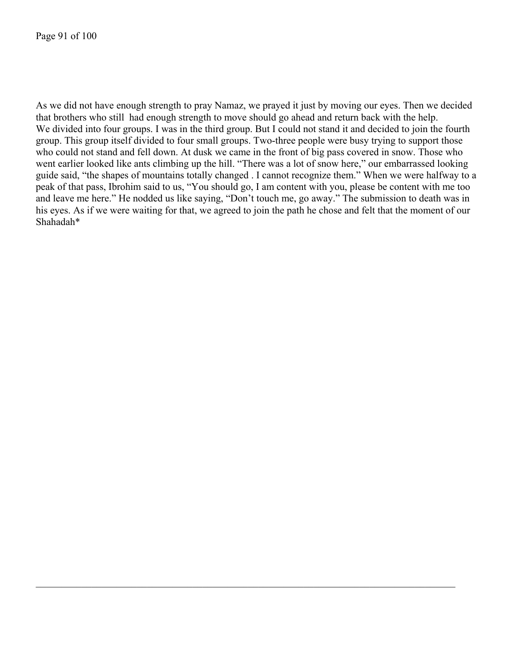As we did not have enough strength to pray Namaz, we prayed it just by moving our eyes. Then we decided that brothers who still had enough strength to move should go ahead and return back with the help. We divided into four groups. I was in the third group. But I could not stand it and decided to join the fourth group. This group itself divided to four small groups. Two-three people were busy trying to support those who could not stand and fell down. At dusk we came in the front of big pass covered in snow. Those who went earlier looked like ants climbing up the hill. "There was a lot of snow here," our embarrassed looking guide said, "the shapes of mountains totally changed . I cannot recognize them." When we were halfway to a peak of that pass, Ibrohim said to us, "You should go, I am content with you, please be content with me too and leave me here." He nodded us like saying, "Don't touch me, go away." The submission to death was in his eyes. As if we were waiting for that, we agreed to join the path he chose and felt that the moment of our Shahadah\*

 $\_$  , and the contribution of the contribution of the contribution of the contribution of  $\mathcal{L}_\text{max}$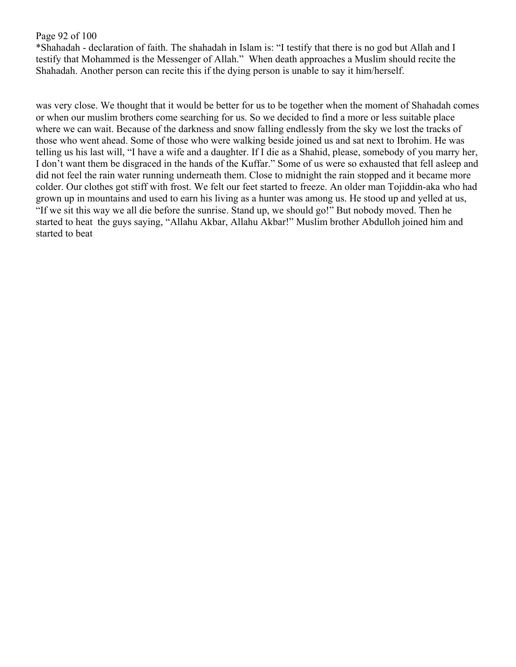## Page 92 of 100

\*Shahadah - declaration of faith. The shahadah in Islam is: "I testify that there is no god but Allah and I testify that Mohammed is the Messenger of Allah." When death approaches a Muslim should recite the Shahadah. Another person can recite this if the dying person is unable to say it him/herself.

was very close. We thought that it would be better for us to be together when the moment of Shahadah comes or when our muslim brothers come searching for us. So we decided to find a more or less suitable place where we can wait. Because of the darkness and snow falling endlessly from the sky we lost the tracks of those who went ahead. Some of those who were walking beside joined us and sat next to Ibrohim. He was telling us his last will, "I have a wife and a daughter. If I die as a Shahid, please, somebody of you marry her, I don't want them be disgraced in the hands of the Kuffar." Some of us were so exhausted that fell asleep and did not feel the rain water running underneath them. Close to midnight the rain stopped and it became more colder. Our clothes got stiff with frost. We felt our feet started to freeze. An older man Tojiddin-aka who had grown up in mountains and used to earn his living as a hunter was among us. He stood up and yelled at us, "If we sit this way we all die before the sunrise. Stand up, we should go!" But nobody moved. Then he started to heat the guys saying, "Allahu Akbar, Allahu Akbar!" Muslim brother Abdulloh joined him and started to beat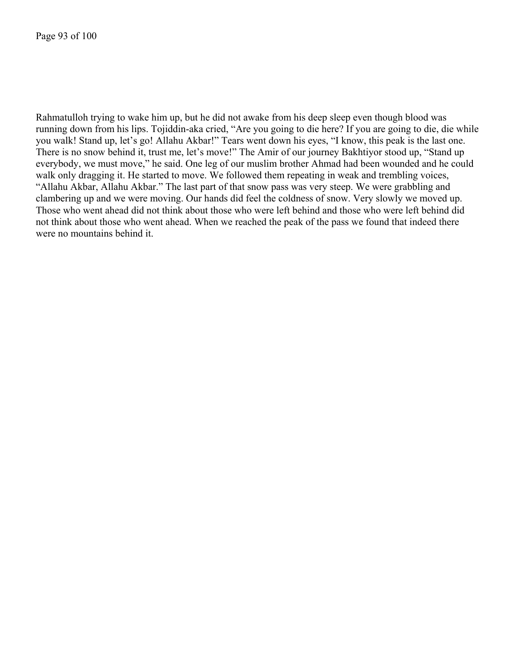Page 93 of 100

Rahmatulloh trying to wake him up, but he did not awake from his deep sleep even though blood was running down from his lips. Tojiddin-aka cried, "Are you going to die here? If you are going to die, die while you walk! Stand up, let's go! Allahu Akbar!" Tears went down his eyes, "I know, this peak is the last one. There is no snow behind it, trust me, let's move!" The Amir of our journey Bakhtiyor stood up, "Stand up everybody, we must move," he said. One leg of our muslim brother Ahmad had been wounded and he could walk only dragging it. He started to move. We followed them repeating in weak and trembling voices, "Allahu Akbar, Allahu Akbar." The last part of that snow pass was very steep. We were grabbling and clambering up and we were moving. Our hands did feel the coldness of snow. Very slowly we moved up. Those who went ahead did not think about those who were left behind and those who were left behind did not think about those who went ahead. When we reached the peak of the pass we found that indeed there were no mountains behind it.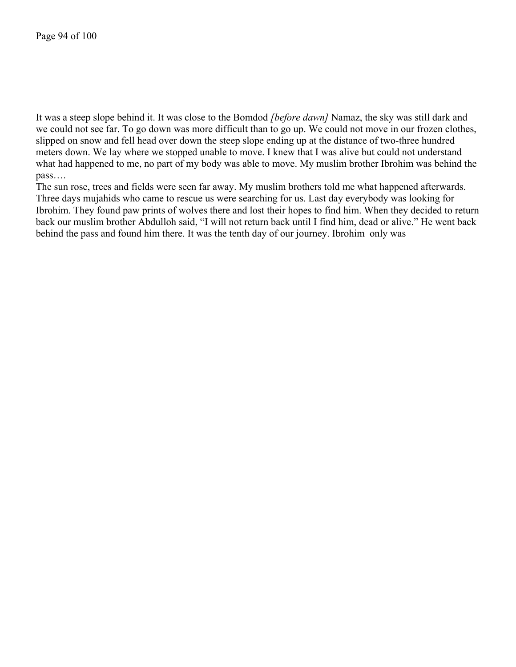It was a steep slope behind it. It was close to the Bomdod *[before dawn]* Namaz, the sky was still dark and we could not see far. To go down was more difficult than to go up. We could not move in our frozen clothes, slipped on snow and fell head over down the steep slope ending up at the distance of two-three hundred meters down. We lay where we stopped unable to move. I knew that I was alive but could not understand what had happened to me, no part of my body was able to move. My muslim brother Ibrohim was behind the pass….

The sun rose, trees and fields were seen far away. My muslim brothers told me what happened afterwards. Three days mujahids who came to rescue us were searching for us. Last day everybody was looking for Ibrohim. They found paw prints of wolves there and lost their hopes to find him. When they decided to return back our muslim brother Abdulloh said, "I will not return back until I find him, dead or alive." He went back behind the pass and found him there. It was the tenth day of our journey. Ibrohim only was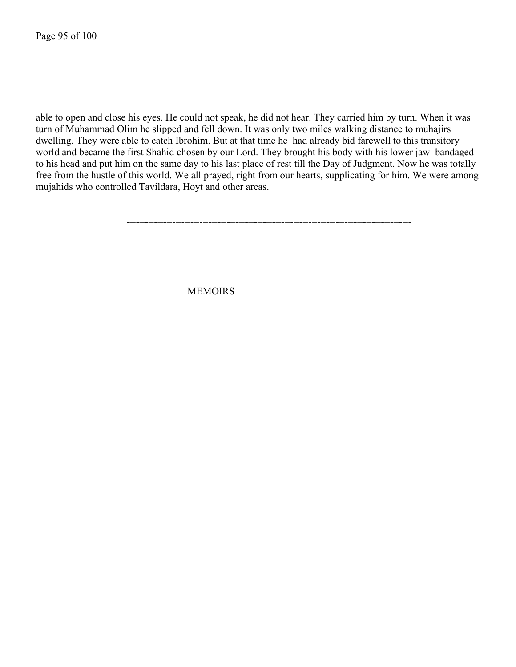Page 95 of 100

able to open and close his eyes. He could not speak, he did not hear. They carried him by turn. When it was turn of Muhammad Olim he slipped and fell down. It was only two miles walking distance to muhajirs dwelling. They were able to catch Ibrohim. But at that time he had already bid farewell to this transitory world and became the first Shahid chosen by our Lord. They brought his body with his lower jaw bandaged to his head and put him on the same day to his last place of rest till the Day of Judgment. Now he was totally free from the hustle of this world. We all prayed, right from our hearts, supplicating for him. We were among mujahids who controlled Tavildara, Hoyt and other areas.

-=-=-=-=-=-=-=-=-=-=-=-=-=-=-=-=-=-=-=-=-=-=-=-=-=-=-=-=-=-=-=-

MEMOIRS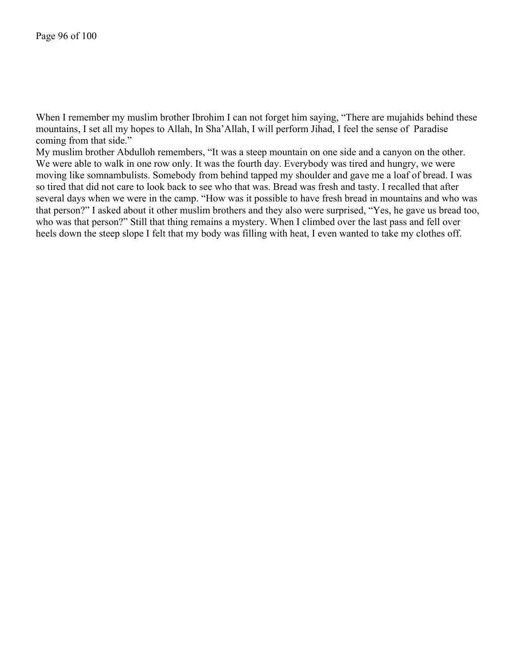When I remember my muslim brother Ibrohim I can not forget him saying, "There are mujahids behind these mountains, I set all my hopes to Allah, In Sha'Allah, I will perform Jihad, I feel the sense of Paradise coming from that side."

My muslim brother Abdulloh remembers, "It was a steep mountain on one side and a canyon on the other. We were able to walk in one row only. It was the fourth day. Everybody was tired and hungry, we were moving like somnambulists. Somebody from behind tapped my shoulder and gave me a loaf of bread. I was so tired that did not care to look back to see who that was. Bread was fresh and tasty. I recalled that after several days when we were in the camp. "How was it possible to have fresh bread in mountains and who was that person?" I asked about it other muslim brothers and they also were surprised, "Yes, he gave us bread too, who was that person?" Still that thing remains a mystery. When I climbed over the last pass and fell over heels down the steep slope I felt that my body was filling with heat, I even wanted to take my clothes off.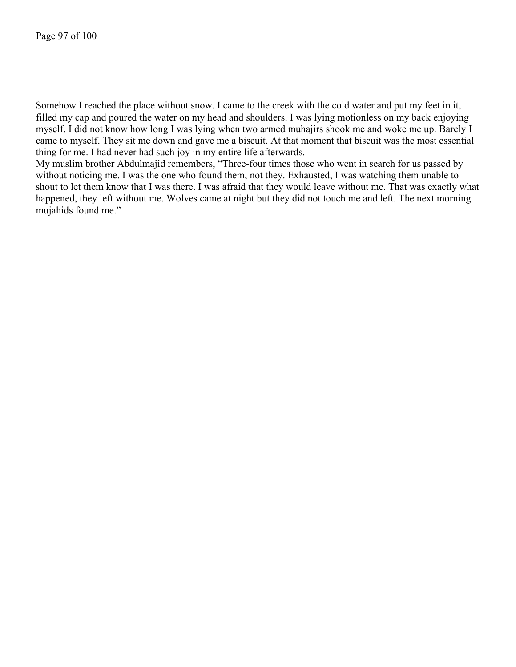Somehow I reached the place without snow. I came to the creek with the cold water and put my feet in it, filled my cap and poured the water on my head and shoulders. I was lying motionless on my back enjoying myself. I did not know how long I was lying when two armed muhajirs shook me and woke me up. Barely I came to myself. They sit me down and gave me a biscuit. At that moment that biscuit was the most essential thing for me. I had never had such joy in my entire life afterwards.

My muslim brother Abdulmajid remembers, "Three-four times those who went in search for us passed by without noticing me. I was the one who found them, not they. Exhausted, I was watching them unable to shout to let them know that I was there. I was afraid that they would leave without me. That was exactly what happened, they left without me. Wolves came at night but they did not touch me and left. The next morning mujahids found me."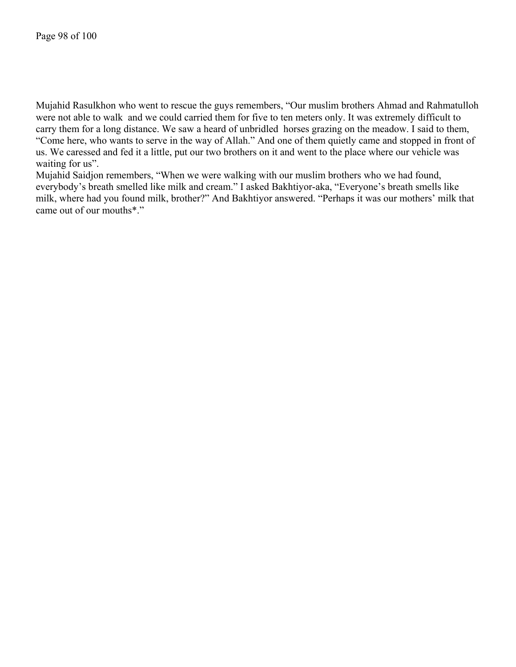Mujahid Rasulkhon who went to rescue the guys remembers, "Our muslim brothers Ahmad and Rahmatulloh were not able to walk and we could carried them for five to ten meters only. It was extremely difficult to carry them for a long distance. We saw a heard of unbridled horses grazing on the meadow. I said to them, "Come here, who wants to serve in the way of Allah." And one of them quietly came and stopped in front of us. We caressed and fed it a little, put our two brothers on it and went to the place where our vehicle was waiting for us".

Mujahid Saidjon remembers, "When we were walking with our muslim brothers who we had found, everybody's breath smelled like milk and cream." I asked Bakhtiyor-aka, "Everyone's breath smells like milk, where had you found milk, brother?" And Bakhtiyor answered. "Perhaps it was our mothers' milk that came out of our mouths\*."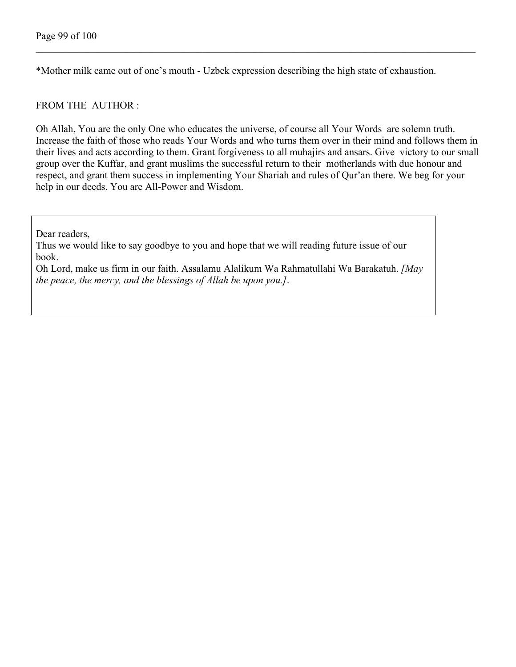\*Mother milk came out of one's mouth - Uzbek expression describing the high state of exhaustion.

## FROM THE AUTHOR :

Oh Allah, You are the only One who educates the universe, of course all Your Words are solemn truth. Increase the faith of those who reads Your Words and who turns them over in their mind and follows them in their lives and acts according to them. Grant forgiveness to all muhajirs and ansars. Give victory to our small group over the Kuffar, and grant muslims the successful return to their motherlands with due honour and respect, and grant them success in implementing Your Shariah and rules of Qur'an there. We beg for your help in our deeds. You are All-Power and Wisdom.

 $\_$  , and the contribution of the contribution of the contribution of the contribution of  $\mathcal{L}_\text{max}$ 

Dear readers,

Thus we would like to say goodbye to you and hope that we will reading future issue of our book.

Oh Lord, make us firm in our faith. Assalamu Alalikum Wa Rahmatullahi Wa Barakatuh. *[May the peace, the mercy, and the blessings of Allah be upon you.]*.